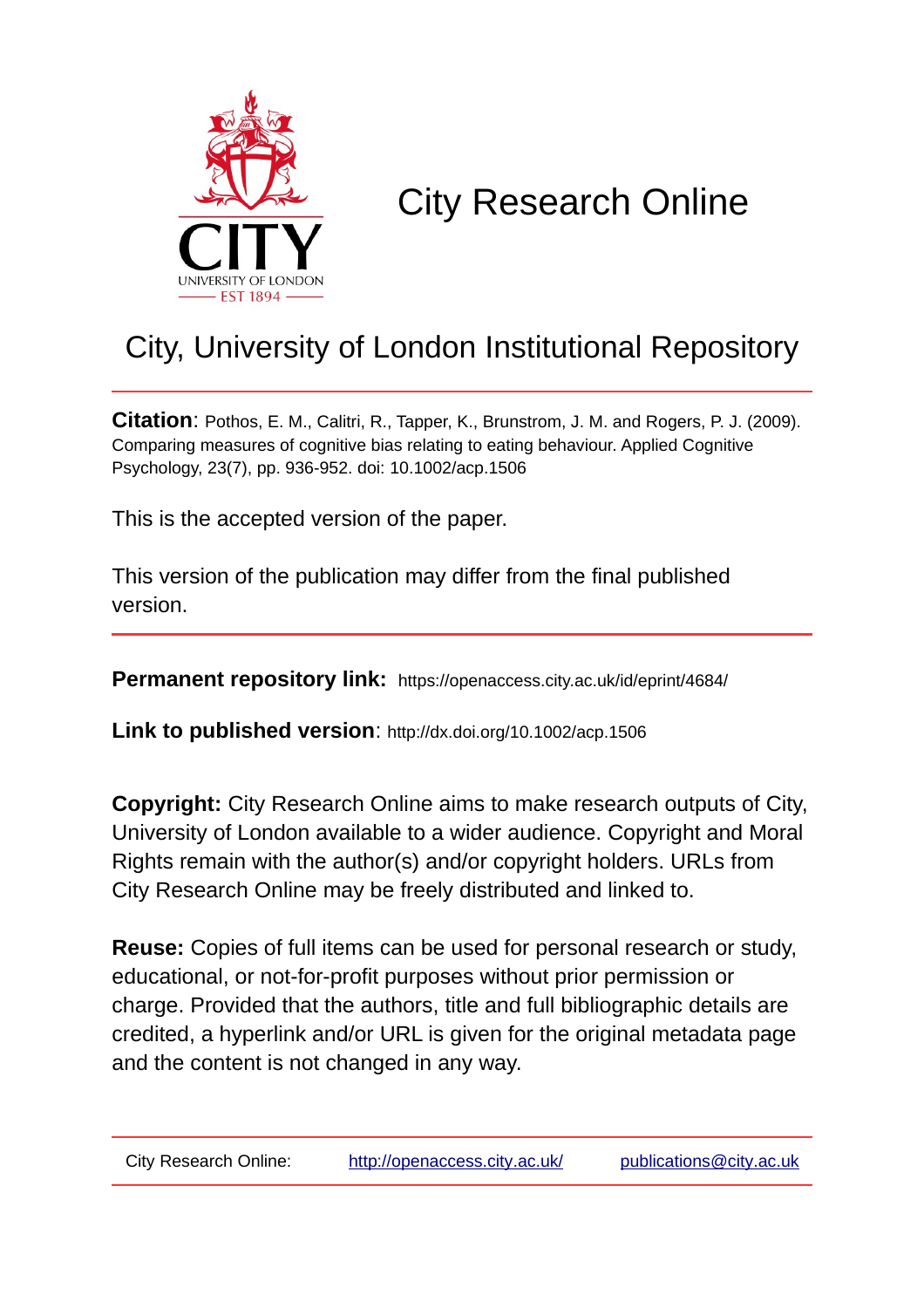

## City Research Online

## City, University of London Institutional Repository

**Citation**: Pothos, E. M., Calitri, R., Tapper, K., Brunstrom, J. M. and Rogers, P. J. (2009). Comparing measures of cognitive bias relating to eating behaviour. Applied Cognitive Psychology, 23(7), pp. 936-952. doi: 10.1002/acp.1506

This is the accepted version of the paper.

This version of the publication may differ from the final published version.

**Permanent repository link:** https://openaccess.city.ac.uk/id/eprint/4684/

**Link to published version**: http://dx.doi.org/10.1002/acp.1506

**Copyright:** City Research Online aims to make research outputs of City, University of London available to a wider audience. Copyright and Moral Rights remain with the author(s) and/or copyright holders. URLs from City Research Online may be freely distributed and linked to.

**Reuse:** Copies of full items can be used for personal research or study, educational, or not-for-profit purposes without prior permission or charge. Provided that the authors, title and full bibliographic details are credited, a hyperlink and/or URL is given for the original metadata page and the content is not changed in any way.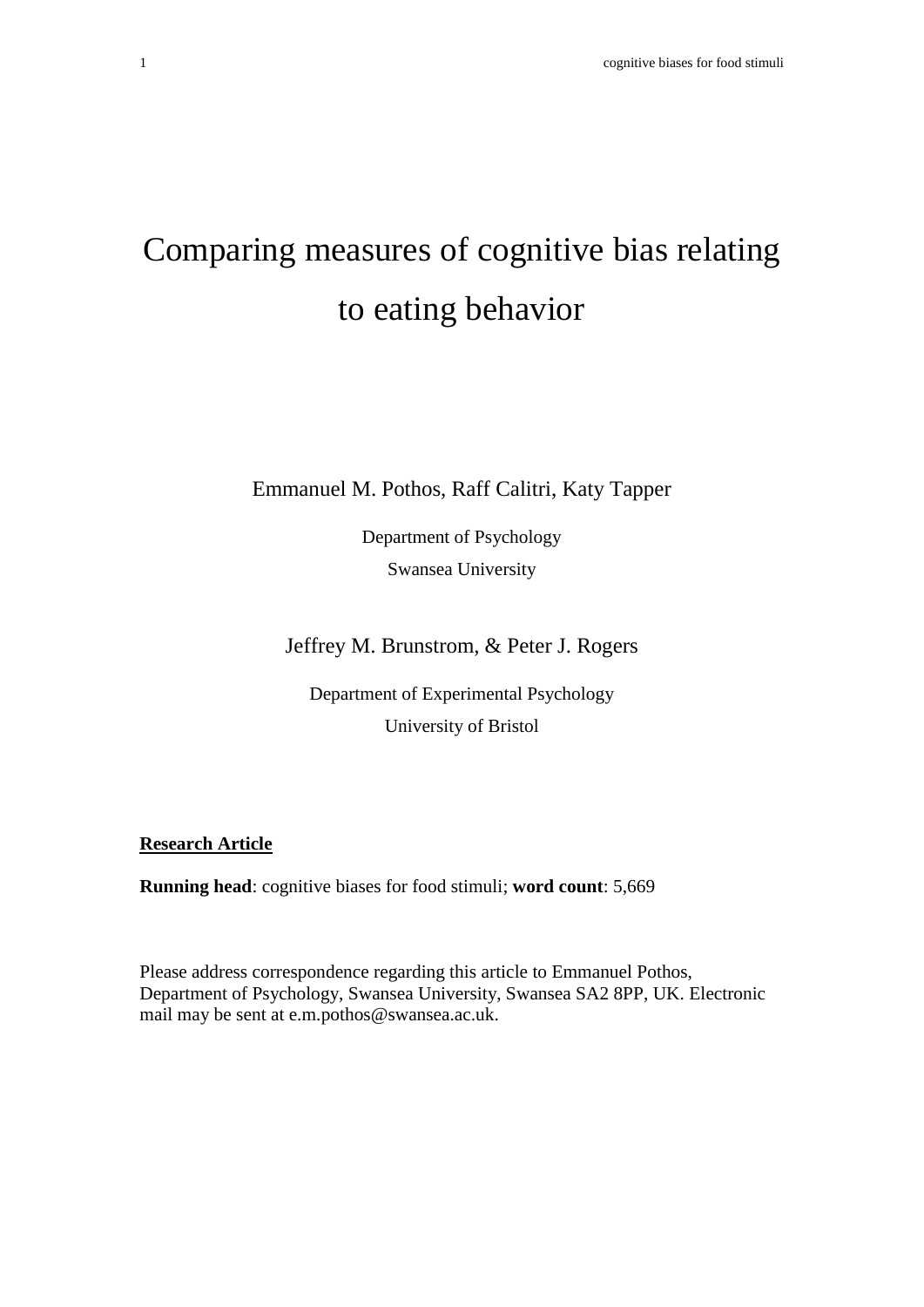# Comparing measures of cognitive bias relating to eating behavior

Emmanuel M. Pothos, Raff Calitri, Katy Tapper

Department of Psychology Swansea University

Jeffrey M. Brunstrom, & Peter J. Rogers

Department of Experimental Psychology University of Bristol

**Research Article**

**Running head**: cognitive biases for food stimuli; **word count**: 5,669

Please address correspondence regarding this article to Emmanuel Pothos, Department of Psychology, Swansea University, Swansea SA2 8PP, UK. Electronic mail may be sent at e.m.pothos@swansea.ac.uk.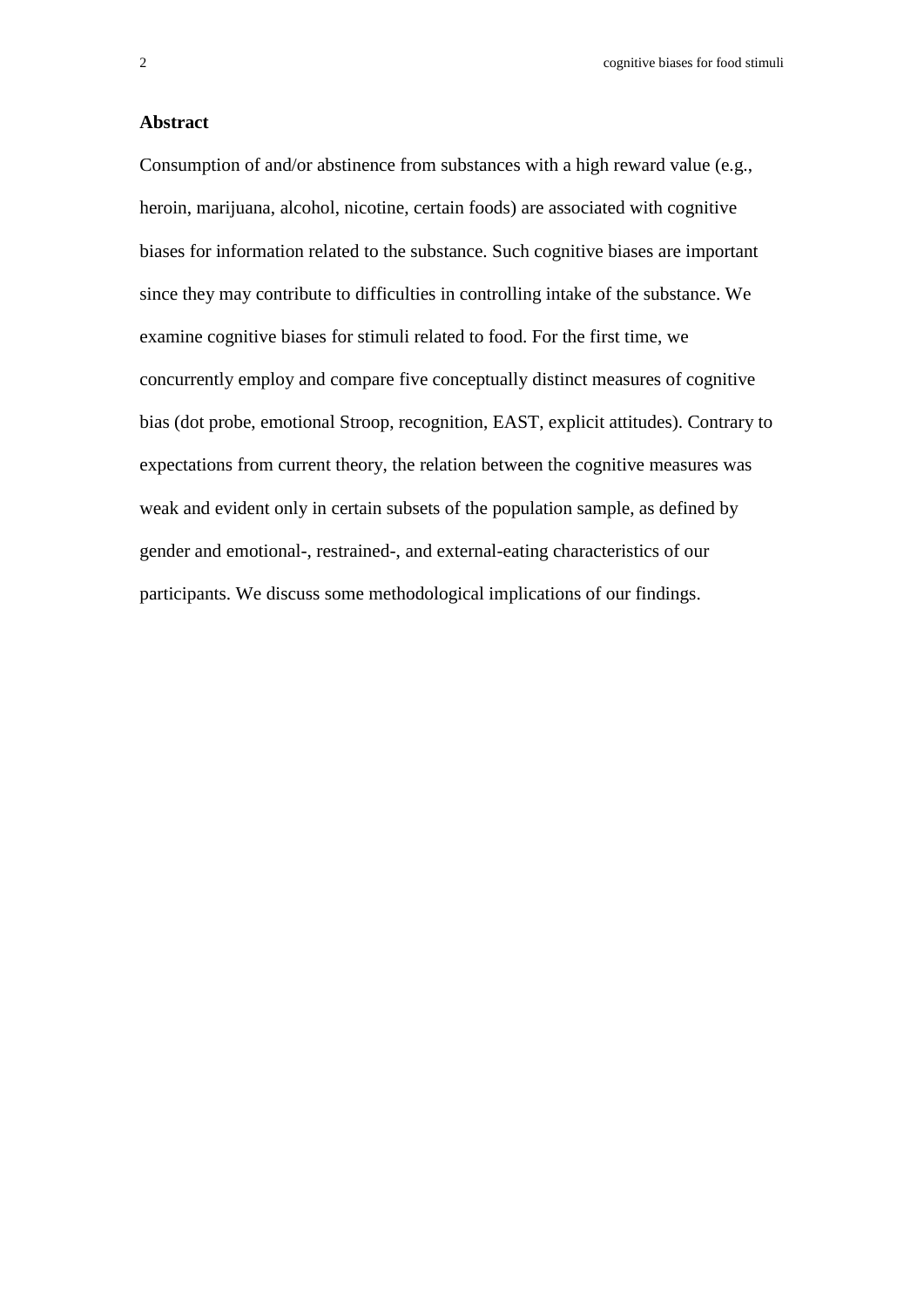#### **Abstract**

Consumption of and/or abstinence from substances with a high reward value (e.g., heroin, marijuana, alcohol, nicotine, certain foods) are associated with cognitive biases for information related to the substance. Such cognitive biases are important since they may contribute to difficulties in controlling intake of the substance. We examine cognitive biases for stimuli related to food. For the first time, we concurrently employ and compare five conceptually distinct measures of cognitive bias (dot probe, emotional Stroop, recognition, EAST, explicit attitudes). Contrary to expectations from current theory, the relation between the cognitive measures was weak and evident only in certain subsets of the population sample, as defined by gender and emotional-, restrained-, and external-eating characteristics of our participants. We discuss some methodological implications of our findings.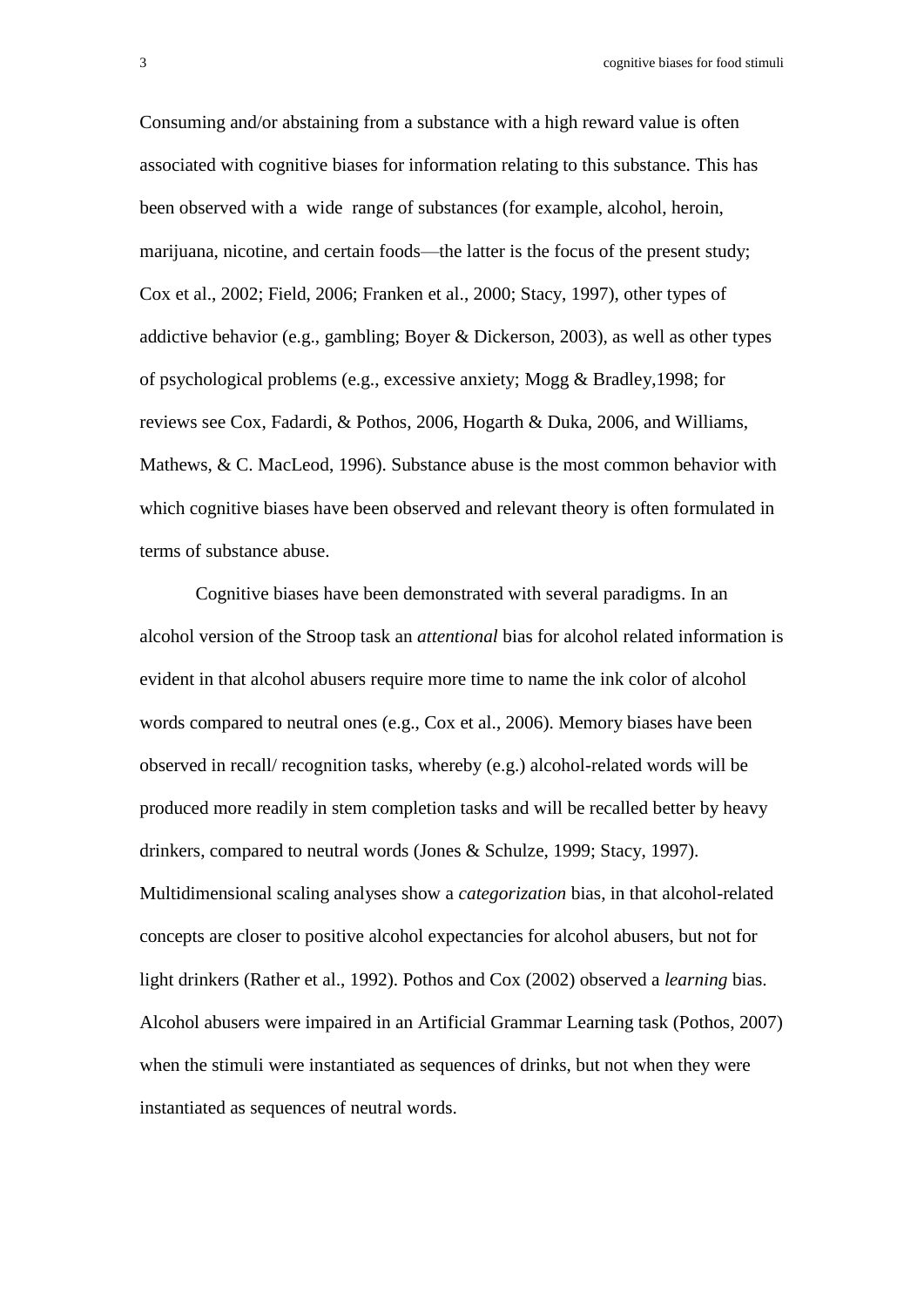3 cognitive biases for food stimuli

Consuming and/or abstaining from a substance with a high reward value is often associated with cognitive biases for information relating to this substance. This has been observed with a wide range of substances (for example, alcohol, heroin, marijuana, nicotine, and certain foods—the latter is the focus of the present study; Cox et al., 2002; Field, 2006; Franken et al., 2000; Stacy, 1997), other types of addictive behavior (e.g., gambling; Boyer & Dickerson, 2003), as well as other types of psychological problems (e.g., excessive anxiety; Mogg & Bradley,1998; for reviews see Cox, Fadardi, & Pothos, 2006, Hogarth & Duka, 2006, and Williams, Mathews, & C. MacLeod, 1996). Substance abuse is the most common behavior with which cognitive biases have been observed and relevant theory is often formulated in terms of substance abuse.

Cognitive biases have been demonstrated with several paradigms. In an alcohol version of the Stroop task an *attentional* bias for alcohol related information is evident in that alcohol abusers require more time to name the ink color of alcohol words compared to neutral ones (e.g., Cox et al., 2006). Memory biases have been observed in recall/ recognition tasks, whereby (e.g.) alcohol-related words will be produced more readily in stem completion tasks and will be recalled better by heavy drinkers, compared to neutral words (Jones & Schulze, 1999; Stacy, 1997). Multidimensional scaling analyses show a *categorization* bias, in that alcohol-related concepts are closer to positive alcohol expectancies for alcohol abusers, but not for light drinkers (Rather et al., 1992). Pothos and Cox (2002) observed a *learning* bias. Alcohol abusers were impaired in an Artificial Grammar Learning task (Pothos, 2007) when the stimuli were instantiated as sequences of drinks, but not when they were instantiated as sequences of neutral words.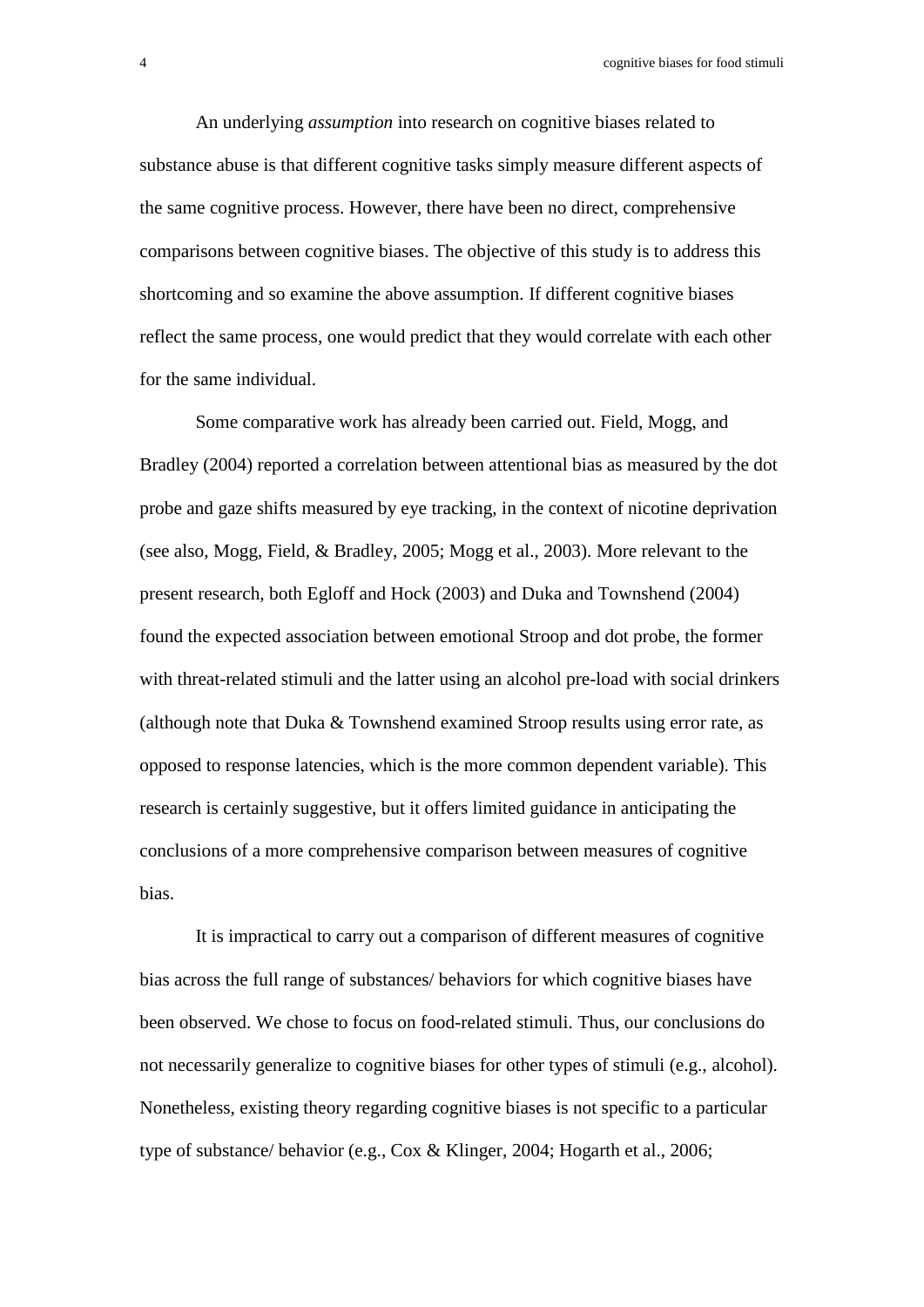4 cognitive biases for food stimuli

An underlying *assumption* into research on cognitive biases related to substance abuse is that different cognitive tasks simply measure different aspects of the same cognitive process. However, there have been no direct, comprehensive comparisons between cognitive biases. The objective of this study is to address this shortcoming and so examine the above assumption. If different cognitive biases reflect the same process, one would predict that they would correlate with each other for the same individual.

Some comparative work has already been carried out. Field, Mogg, and Bradley (2004) reported a correlation between attentional bias as measured by the dot probe and gaze shifts measured by eye tracking, in the context of nicotine deprivation (see also, Mogg, Field, & Bradley, 2005; Mogg et al., 2003). More relevant to the present research, both Egloff and Hock (2003) and Duka and Townshend (2004) found the expected association between emotional Stroop and dot probe, the former with threat-related stimuli and the latter using an alcohol pre-load with social drinkers (although note that Duka & Townshend examined Stroop results using error rate, as opposed to response latencies, which is the more common dependent variable). This research is certainly suggestive, but it offers limited guidance in anticipating the conclusions of a more comprehensive comparison between measures of cognitive bias.

It is impractical to carry out a comparison of different measures of cognitive bias across the full range of substances/ behaviors for which cognitive biases have been observed. We chose to focus on food-related stimuli. Thus, our conclusions do not necessarily generalize to cognitive biases for other types of stimuli (e.g., alcohol). Nonetheless, existing theory regarding cognitive biases is not specific to a particular type of substance/ behavior (e.g., Cox & Klinger, 2004; Hogarth et al., 2006;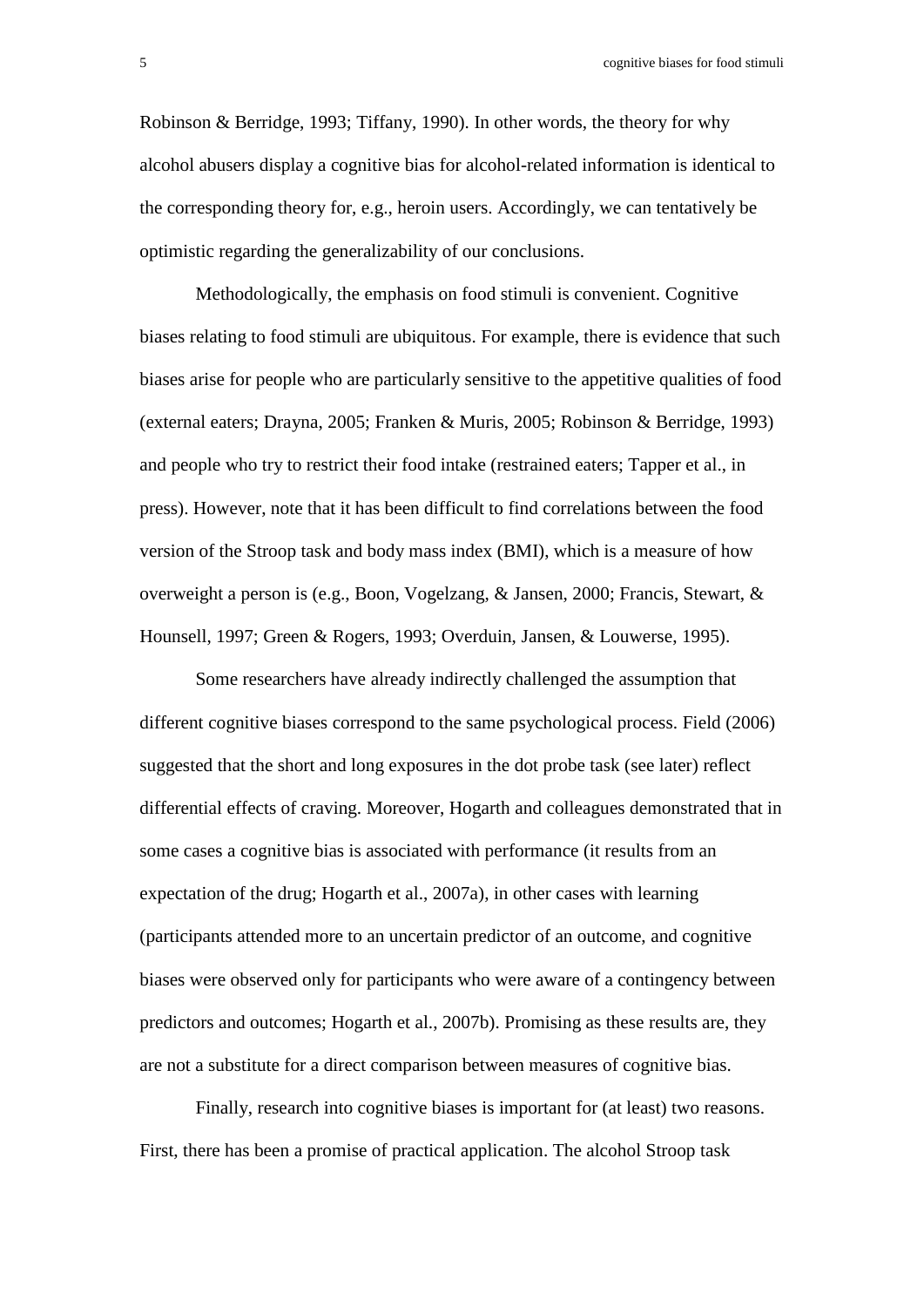Robinson & Berridge, 1993; Tiffany, 1990). In other words, the theory for why alcohol abusers display a cognitive bias for alcohol-related information is identical to the corresponding theory for, e.g., heroin users. Accordingly, we can tentatively be optimistic regarding the generalizability of our conclusions.

Methodologically, the emphasis on food stimuli is convenient. Cognitive biases relating to food stimuli are ubiquitous. For example, there is evidence that such biases arise for people who are particularly sensitive to the appetitive qualities of food (external eaters; Drayna, 2005; Franken & Muris, 2005; Robinson & Berridge, 1993) and people who try to restrict their food intake (restrained eaters; Tapper et al., in press). However, note that it has been difficult to find correlations between the food version of the Stroop task and body mass index (BMI), which is a measure of how overweight a person is (e.g., Boon, Vogelzang, & Jansen, 2000; Francis, Stewart, & Hounsell, 1997; Green & Rogers, 1993; Overduin, Jansen, & Louwerse, 1995).

Some researchers have already indirectly challenged the assumption that different cognitive biases correspond to the same psychological process. Field (2006) suggested that the short and long exposures in the dot probe task (see later) reflect differential effects of craving. Moreover, Hogarth and colleagues demonstrated that in some cases a cognitive bias is associated with performance (it results from an expectation of the drug; Hogarth et al., 2007a), in other cases with learning (participants attended more to an uncertain predictor of an outcome, and cognitive biases were observed only for participants who were aware of a contingency between predictors and outcomes; Hogarth et al., 2007b). Promising as these results are, they are not a substitute for a direct comparison between measures of cognitive bias.

Finally, research into cognitive biases is important for (at least) two reasons. First, there has been a promise of practical application. The alcohol Stroop task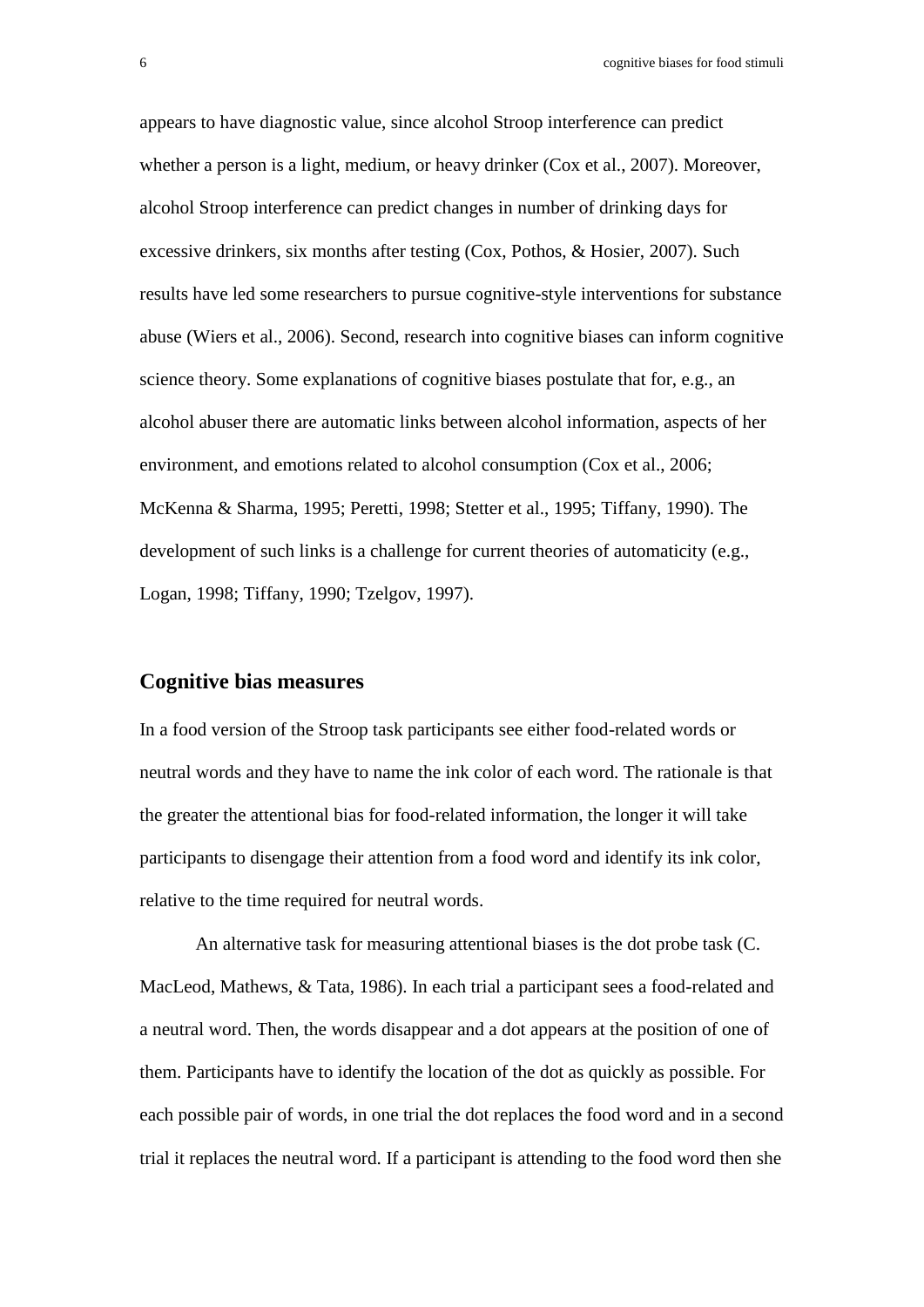appears to have diagnostic value, since alcohol Stroop interference can predict whether a person is a light, medium, or heavy drinker (Cox et al., 2007). Moreover, alcohol Stroop interference can predict changes in number of drinking days for excessive drinkers, six months after testing (Cox, Pothos, & Hosier, 2007). Such results have led some researchers to pursue cognitive-style interventions for substance abuse (Wiers et al., 2006). Second, research into cognitive biases can inform cognitive science theory. Some explanations of cognitive biases postulate that for, e.g., an alcohol abuser there are automatic links between alcohol information, aspects of her environment, and emotions related to alcohol consumption (Cox et al., 2006; McKenna & Sharma, 1995; Peretti, 1998; Stetter et al., 1995; Tiffany, 1990). The development of such links is a challenge for current theories of automaticity (e.g., Logan, 1998; Tiffany, 1990; Tzelgov, 1997).

#### **Cognitive bias measures**

In a food version of the Stroop task participants see either food-related words or neutral words and they have to name the ink color of each word. The rationale is that the greater the attentional bias for food-related information, the longer it will take participants to disengage their attention from a food word and identify its ink color, relative to the time required for neutral words.

An alternative task for measuring attentional biases is the dot probe task (C. MacLeod, Mathews, & Tata, 1986). In each trial a participant sees a food-related and a neutral word. Then, the words disappear and a dot appears at the position of one of them. Participants have to identify the location of the dot as quickly as possible. For each possible pair of words, in one trial the dot replaces the food word and in a second trial it replaces the neutral word. If a participant is attending to the food word then she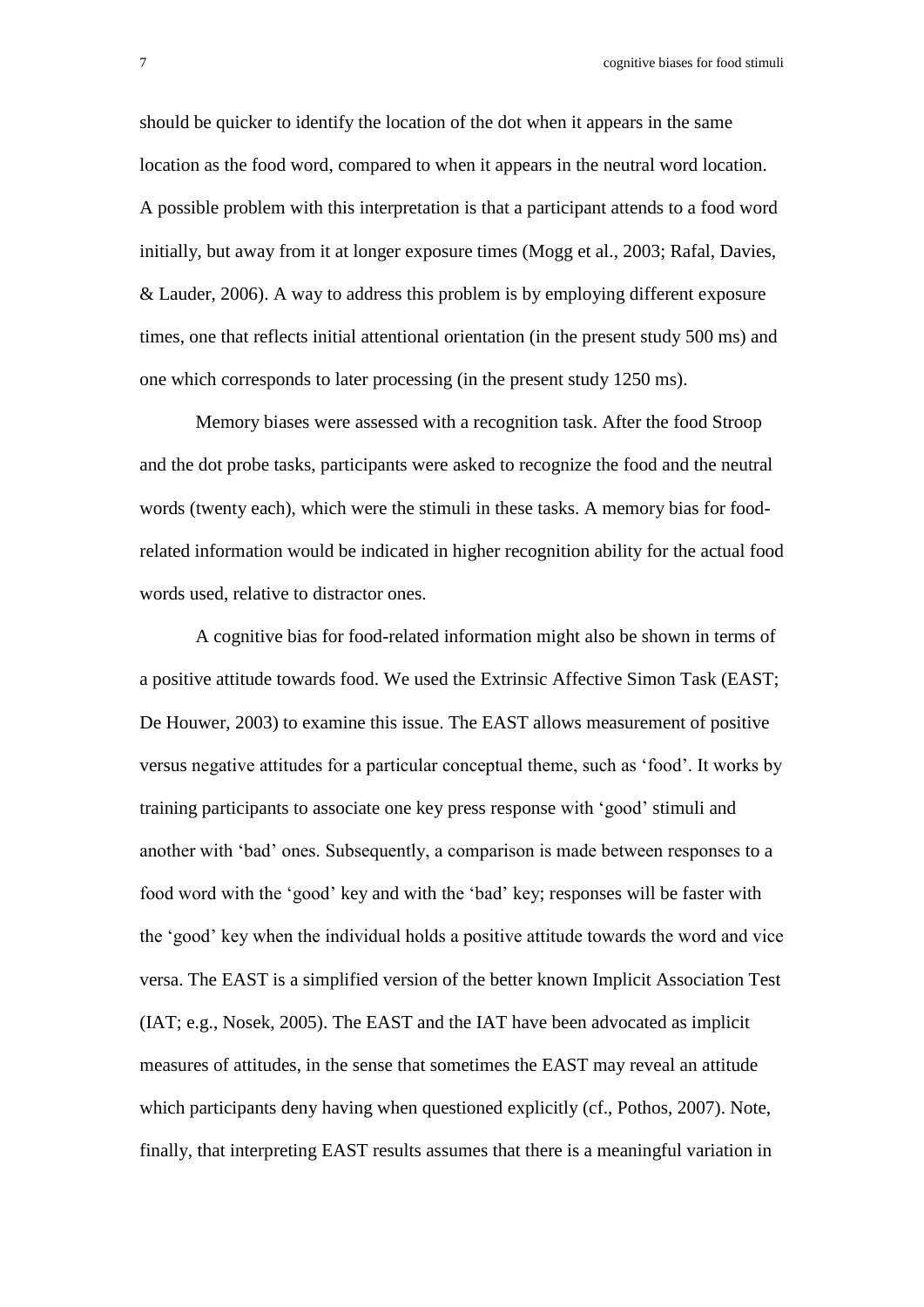7 cognitive biases for food stimuli

should be quicker to identify the location of the dot when it appears in the same location as the food word, compared to when it appears in the neutral word location. A possible problem with this interpretation is that a participant attends to a food word initially, but away from it at longer exposure times (Mogg et al., 2003; Rafal, Davies, & Lauder, 2006). A way to address this problem is by employing different exposure times, one that reflects initial attentional orientation (in the present study 500 ms) and one which corresponds to later processing (in the present study 1250 ms).

Memory biases were assessed with a recognition task. After the food Stroop and the dot probe tasks, participants were asked to recognize the food and the neutral words (twenty each), which were the stimuli in these tasks. A memory bias for foodrelated information would be indicated in higher recognition ability for the actual food words used, relative to distractor ones.

A cognitive bias for food-related information might also be shown in terms of a positive attitude towards food. We used the Extrinsic Affective Simon Task (EAST; De Houwer, 2003) to examine this issue. The EAST allows measurement of positive versus negative attitudes for a particular conceptual theme, such as 'food'. It works by training participants to associate one key press response with 'good' stimuli and another with 'bad' ones. Subsequently, a comparison is made between responses to a food word with the 'good' key and with the 'bad' key; responses will be faster with the 'good' key when the individual holds a positive attitude towards the word and vice versa. The EAST is a simplified version of the better known Implicit Association Test (IAT; e.g., Nosek, 2005). The EAST and the IAT have been advocated as implicit measures of attitudes, in the sense that sometimes the EAST may reveal an attitude which participants deny having when questioned explicitly (cf., Pothos, 2007). Note, finally, that interpreting EAST results assumes that there is a meaningful variation in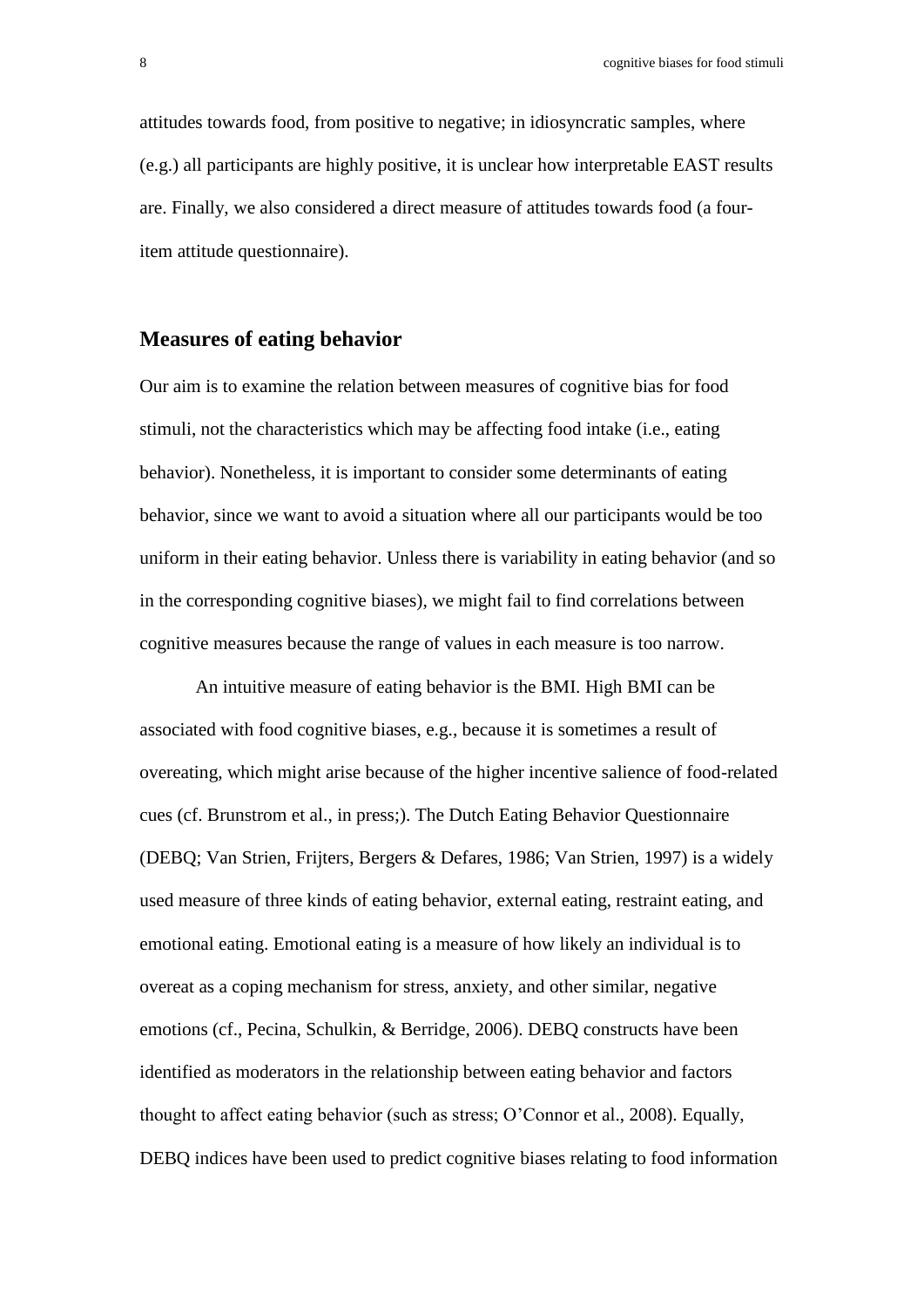attitudes towards food, from positive to negative; in idiosyncratic samples, where (e.g.) all participants are highly positive, it is unclear how interpretable EAST results are. Finally, we also considered a direct measure of attitudes towards food (a fouritem attitude questionnaire).

#### **Measures of eating behavior**

Our aim is to examine the relation between measures of cognitive bias for food stimuli, not the characteristics which may be affecting food intake (i.e., eating behavior). Nonetheless, it is important to consider some determinants of eating behavior, since we want to avoid a situation where all our participants would be too uniform in their eating behavior. Unless there is variability in eating behavior (and so in the corresponding cognitive biases), we might fail to find correlations between cognitive measures because the range of values in each measure is too narrow.

An intuitive measure of eating behavior is the BMI. High BMI can be associated with food cognitive biases, e.g., because it is sometimes a result of overeating, which might arise because of the higher incentive salience of food-related cues (cf. Brunstrom et al., in press;). The Dutch Eating Behavior Questionnaire (DEBQ; Van Strien, Frijters, Bergers & Defares, 1986; Van Strien, 1997) is a widely used measure of three kinds of eating behavior, external eating, restraint eating, and emotional eating. Emotional eating is a measure of how likely an individual is to overeat as a coping mechanism for stress, anxiety, and other similar, negative emotions (cf., Pecina, Schulkin, & Berridge, 2006). DEBQ constructs have been identified as moderators in the relationship between eating behavior and factors thought to affect eating behavior (such as stress; O'Connor et al., 2008). Equally, DEBQ indices have been used to predict cognitive biases relating to food information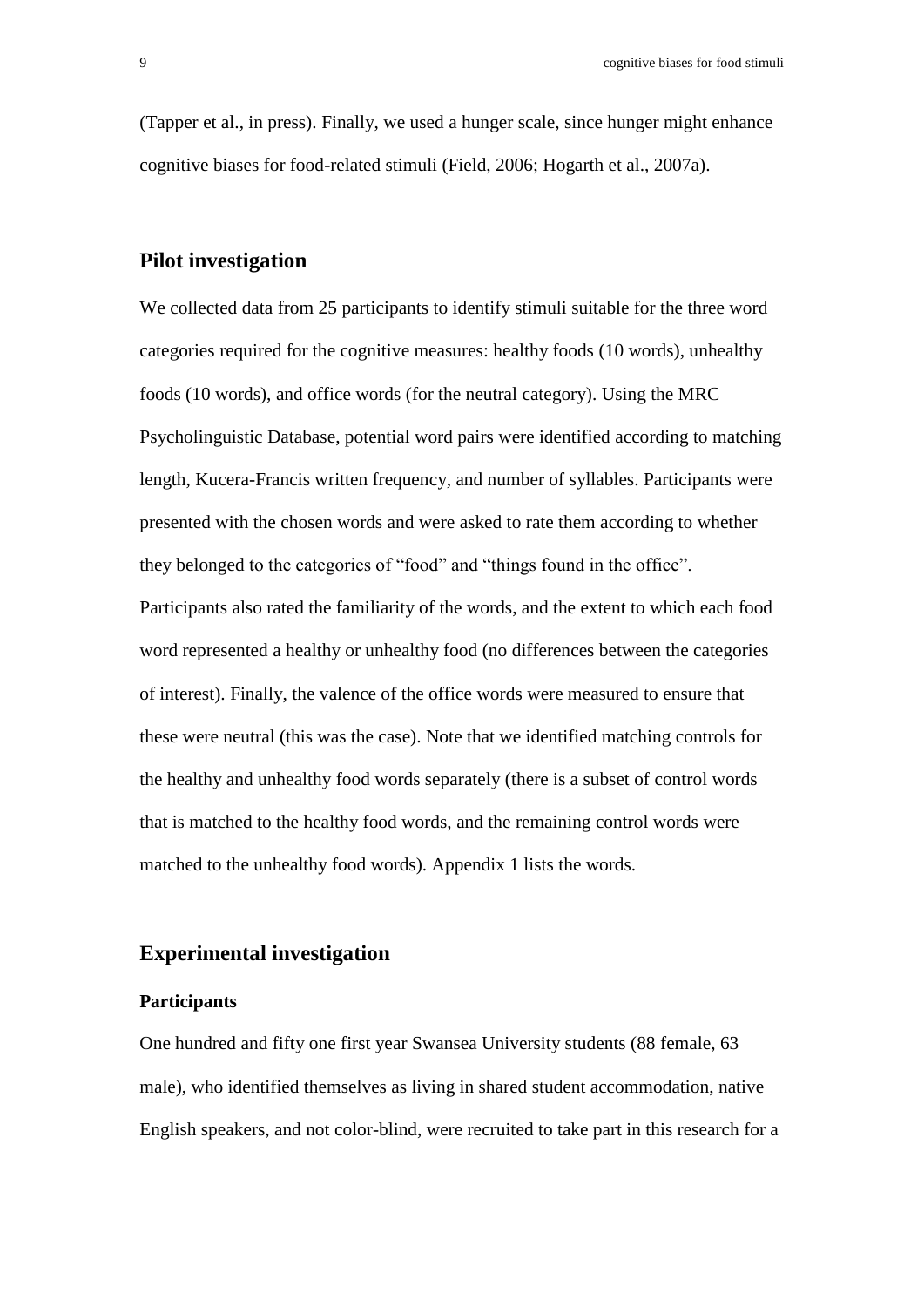(Tapper et al., in press). Finally, we used a hunger scale, since hunger might enhance cognitive biases for food-related stimuli (Field, 2006; Hogarth et al., 2007a).

#### **Pilot investigation**

We collected data from 25 participants to identify stimuli suitable for the three word categories required for the cognitive measures: healthy foods (10 words), unhealthy foods (10 words), and office words (for the neutral category). Using the MRC Psycholinguistic Database, potential word pairs were identified according to matching length, Kucera-Francis written frequency, and number of syllables. Participants were presented with the chosen words and were asked to rate them according to whether they belonged to the categories of "food" and "things found in the office". Participants also rated the familiarity of the words, and the extent to which each food word represented a healthy or unhealthy food (no differences between the categories of interest). Finally, the valence of the office words were measured to ensure that these were neutral (this was the case). Note that we identified matching controls for the healthy and unhealthy food words separately (there is a subset of control words that is matched to the healthy food words, and the remaining control words were matched to the unhealthy food words). Appendix 1 lists the words.

#### **Experimental investigation**

#### **Participants**

One hundred and fifty one first year Swansea University students (88 female, 63 male), who identified themselves as living in shared student accommodation, native English speakers, and not color-blind, were recruited to take part in this research for a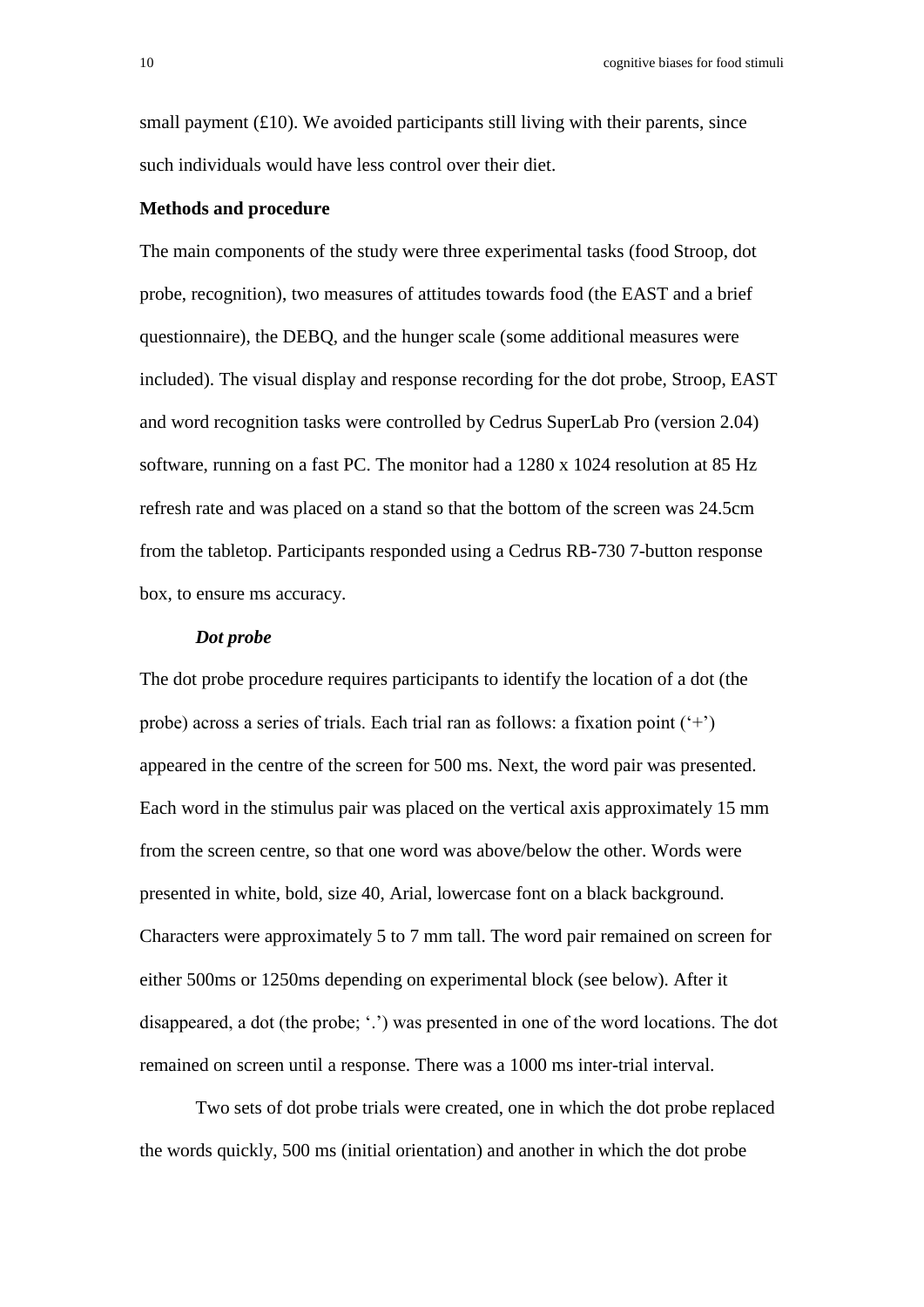small payment  $(f10)$ . We avoided participants still living with their parents, since such individuals would have less control over their diet.

#### **Methods and procedure**

The main components of the study were three experimental tasks (food Stroop, dot probe, recognition), two measures of attitudes towards food (the EAST and a brief questionnaire), the DEBQ, and the hunger scale (some additional measures were included). The visual display and response recording for the dot probe, Stroop, EAST and word recognition tasks were controlled by Cedrus SuperLab Pro (version 2.04) software, running on a fast PC. The monitor had a 1280 x 1024 resolution at 85 Hz refresh rate and was placed on a stand so that the bottom of the screen was 24.5cm from the tabletop. Participants responded using a Cedrus RB-730 7-button response box, to ensure ms accuracy.

#### *Dot probe*

The dot probe procedure requires participants to identify the location of a dot (the probe) across a series of trials. Each trial ran as follows: a fixation point  $(4)$ appeared in the centre of the screen for 500 ms. Next, the word pair was presented. Each word in the stimulus pair was placed on the vertical axis approximately 15 mm from the screen centre, so that one word was above/below the other. Words were presented in white, bold, size 40, Arial, lowercase font on a black background. Characters were approximately 5 to 7 mm tall. The word pair remained on screen for either 500ms or 1250ms depending on experimental block (see below). After it disappeared, a dot (the probe; '.') was presented in one of the word locations. The dot remained on screen until a response. There was a 1000 ms inter-trial interval.

Two sets of dot probe trials were created, one in which the dot probe replaced the words quickly, 500 ms (initial orientation) and another in which the dot probe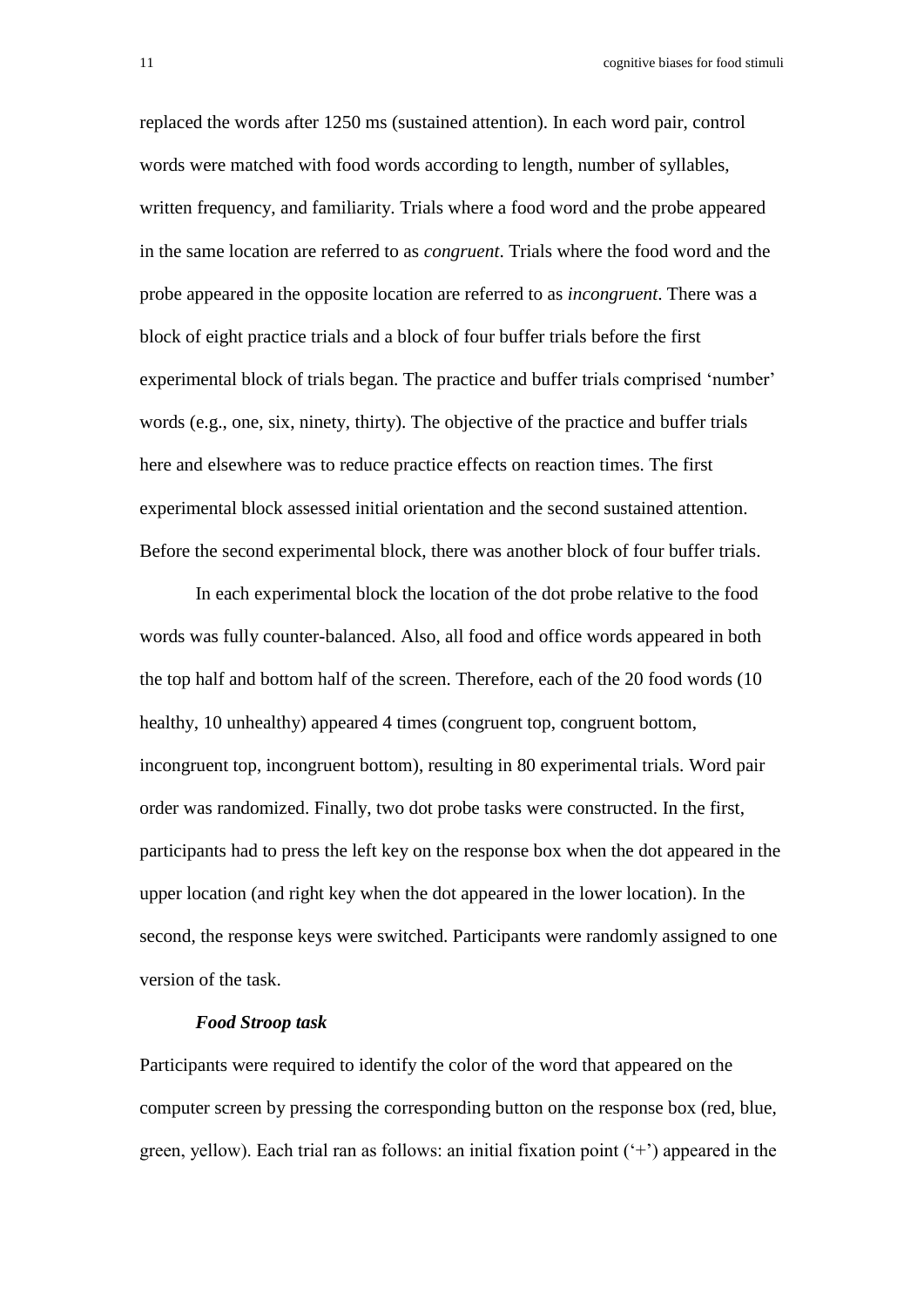replaced the words after 1250 ms (sustained attention). In each word pair, control words were matched with food words according to length, number of syllables, written frequency, and familiarity. Trials where a food word and the probe appeared in the same location are referred to as *congruent*. Trials where the food word and the probe appeared in the opposite location are referred to as *incongruent*. There was a block of eight practice trials and a block of four buffer trials before the first experimental block of trials began. The practice and buffer trials comprised 'number' words (e.g., one, six, ninety, thirty). The objective of the practice and buffer trials here and elsewhere was to reduce practice effects on reaction times. The first experimental block assessed initial orientation and the second sustained attention. Before the second experimental block, there was another block of four buffer trials.

In each experimental block the location of the dot probe relative to the food words was fully counter-balanced. Also, all food and office words appeared in both the top half and bottom half of the screen. Therefore, each of the 20 food words (10 healthy, 10 unhealthy) appeared 4 times (congruent top, congruent bottom, incongruent top, incongruent bottom), resulting in 80 experimental trials. Word pair order was randomized. Finally, two dot probe tasks were constructed. In the first, participants had to press the left key on the response box when the dot appeared in the upper location (and right key when the dot appeared in the lower location). In the second, the response keys were switched. Participants were randomly assigned to one version of the task.

#### *Food Stroop task*

Participants were required to identify the color of the word that appeared on the computer screen by pressing the corresponding button on the response box (red, blue, green, yellow). Each trial ran as follows: an initial fixation point  $(+)$  appeared in the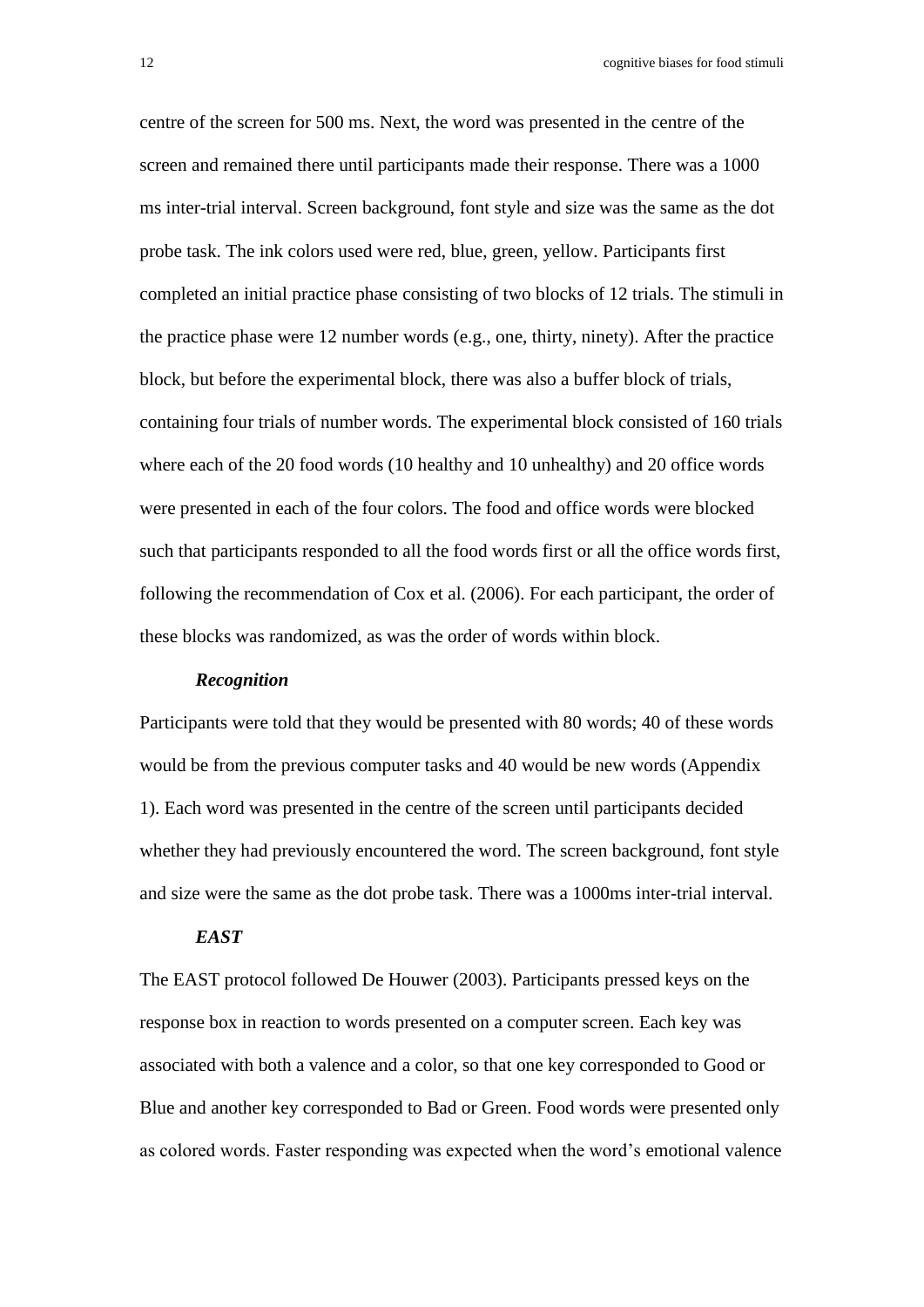12 cognitive biases for food stimuli

centre of the screen for 500 ms. Next, the word was presented in the centre of the screen and remained there until participants made their response. There was a 1000 ms inter-trial interval. Screen background, font style and size was the same as the dot probe task. The ink colors used were red, blue, green, yellow. Participants first completed an initial practice phase consisting of two blocks of 12 trials. The stimuli in the practice phase were 12 number words (e.g., one, thirty, ninety). After the practice block, but before the experimental block, there was also a buffer block of trials, containing four trials of number words. The experimental block consisted of 160 trials where each of the 20 food words (10 healthy and 10 unhealthy) and 20 office words were presented in each of the four colors. The food and office words were blocked such that participants responded to all the food words first or all the office words first, following the recommendation of Cox et al. (2006). For each participant, the order of these blocks was randomized, as was the order of words within block.

#### *Recognition*

Participants were told that they would be presented with 80 words; 40 of these words would be from the previous computer tasks and 40 would be new words (Appendix 1). Each word was presented in the centre of the screen until participants decided whether they had previously encountered the word. The screen background, font style and size were the same as the dot probe task. There was a 1000ms inter-trial interval.

#### *EAST*

The EAST protocol followed De Houwer (2003). Participants pressed keys on the response box in reaction to words presented on a computer screen. Each key was associated with both a valence and a color, so that one key corresponded to Good or Blue and another key corresponded to Bad or Green. Food words were presented only as colored words. Faster responding was expected when the word's emotional valence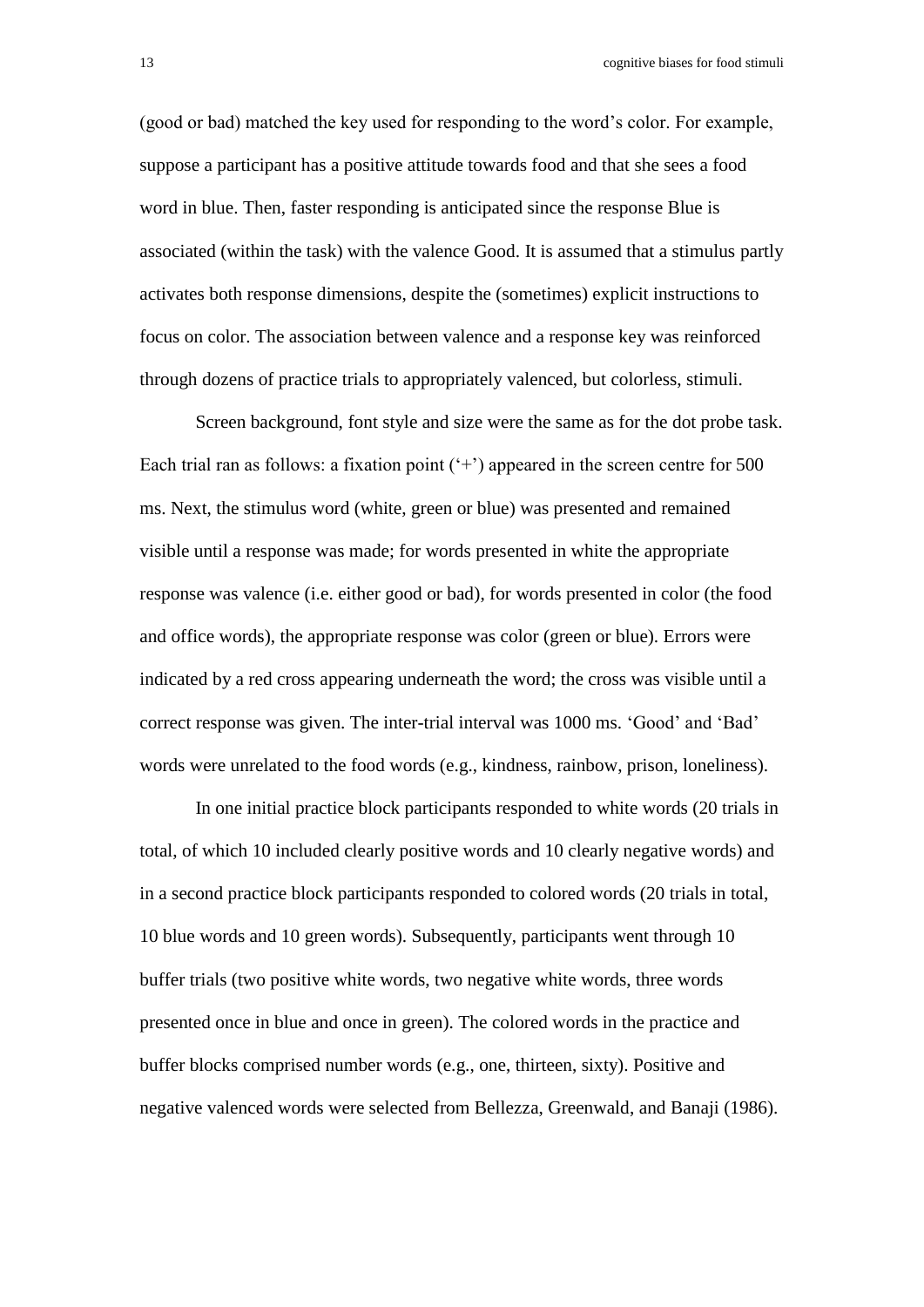(good or bad) matched the key used for responding to the word's color. For example, suppose a participant has a positive attitude towards food and that she sees a food word in blue. Then, faster responding is anticipated since the response Blue is associated (within the task) with the valence Good. It is assumed that a stimulus partly activates both response dimensions, despite the (sometimes) explicit instructions to focus on color. The association between valence and a response key was reinforced through dozens of practice trials to appropriately valenced, but colorless, stimuli.

Screen background, font style and size were the same as for the dot probe task. Each trial ran as follows: a fixation point  $(+)$  appeared in the screen centre for 500 ms. Next, the stimulus word (white, green or blue) was presented and remained visible until a response was made; for words presented in white the appropriate response was valence (i.e. either good or bad), for words presented in color (the food and office words), the appropriate response was color (green or blue). Errors were indicated by a red cross appearing underneath the word; the cross was visible until a correct response was given. The inter-trial interval was 1000 ms. 'Good' and 'Bad' words were unrelated to the food words (e.g., kindness, rainbow, prison, loneliness).

In one initial practice block participants responded to white words (20 trials in total, of which 10 included clearly positive words and 10 clearly negative words) and in a second practice block participants responded to colored words (20 trials in total, 10 blue words and 10 green words). Subsequently, participants went through 10 buffer trials (two positive white words, two negative white words, three words presented once in blue and once in green). The colored words in the practice and buffer blocks comprised number words (e.g., one, thirteen, sixty). Positive and negative valenced words were selected from Bellezza, Greenwald, and Banaji (1986).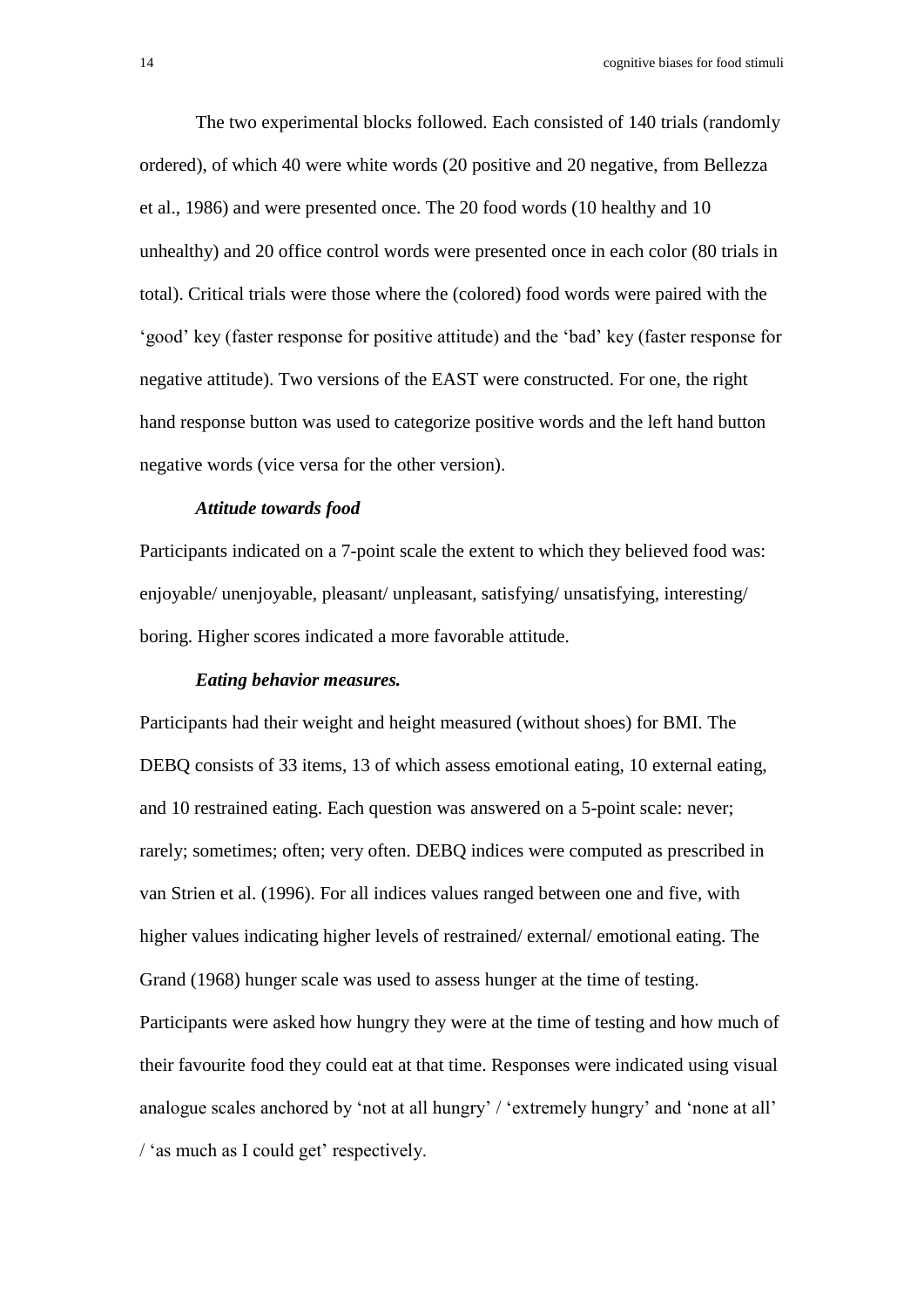The two experimental blocks followed. Each consisted of 140 trials (randomly ordered), of which 40 were white words (20 positive and 20 negative, from Bellezza et al., 1986) and were presented once. The 20 food words (10 healthy and 10 unhealthy) and 20 office control words were presented once in each color (80 trials in total). Critical trials were those where the (colored) food words were paired with the 'good' key (faster response for positive attitude) and the 'bad' key (faster response for negative attitude). Two versions of the EAST were constructed. For one, the right hand response button was used to categorize positive words and the left hand button negative words (vice versa for the other version).

#### *Attitude towards food*

Participants indicated on a 7-point scale the extent to which they believed food was: enjoyable/ unenjoyable, pleasant/ unpleasant, satisfying/ unsatisfying, interesting/ boring. Higher scores indicated a more favorable attitude.

#### *Eating behavior measures.*

Participants had their weight and height measured (without shoes) for BMI. The DEBQ consists of 33 items, 13 of which assess emotional eating, 10 external eating, and 10 restrained eating. Each question was answered on a 5-point scale: never; rarely; sometimes; often; very often. DEBQ indices were computed as prescribed in van Strien et al. (1996). For all indices values ranged between one and five, with higher values indicating higher levels of restrained/ external/ emotional eating. The Grand (1968) hunger scale was used to assess hunger at the time of testing. Participants were asked how hungry they were at the time of testing and how much of their favourite food they could eat at that time. Responses were indicated using visual analogue scales anchored by 'not at all hungry' / 'extremely hungry' and 'none at all' / 'as much as I could get' respectively.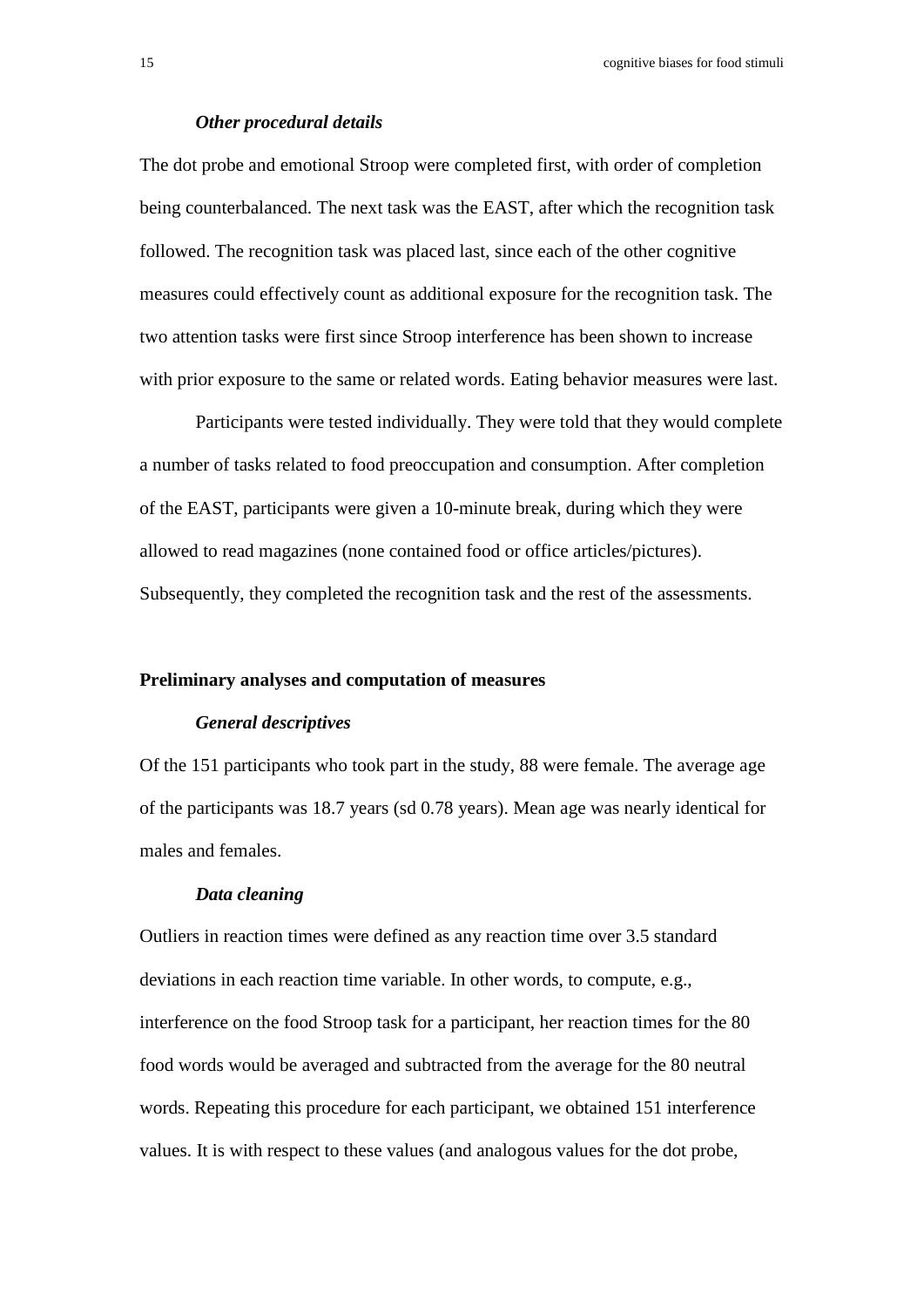#### *Other procedural details*

The dot probe and emotional Stroop were completed first, with order of completion being counterbalanced. The next task was the EAST, after which the recognition task followed. The recognition task was placed last, since each of the other cognitive measures could effectively count as additional exposure for the recognition task. The two attention tasks were first since Stroop interference has been shown to increase with prior exposure to the same or related words. Eating behavior measures were last.

Participants were tested individually. They were told that they would complete a number of tasks related to food preoccupation and consumption. After completion of the EAST, participants were given a 10-minute break, during which they were allowed to read magazines (none contained food or office articles/pictures). Subsequently, they completed the recognition task and the rest of the assessments.

#### **Preliminary analyses and computation of measures**

#### *General descriptives*

Of the 151 participants who took part in the study, 88 were female. The average age of the participants was 18.7 years (sd 0.78 years). Mean age was nearly identical for males and females.

#### *Data cleaning*

Outliers in reaction times were defined as any reaction time over 3.5 standard deviations in each reaction time variable. In other words, to compute, e.g., interference on the food Stroop task for a participant, her reaction times for the 80 food words would be averaged and subtracted from the average for the 80 neutral words. Repeating this procedure for each participant, we obtained 151 interference values. It is with respect to these values (and analogous values for the dot probe,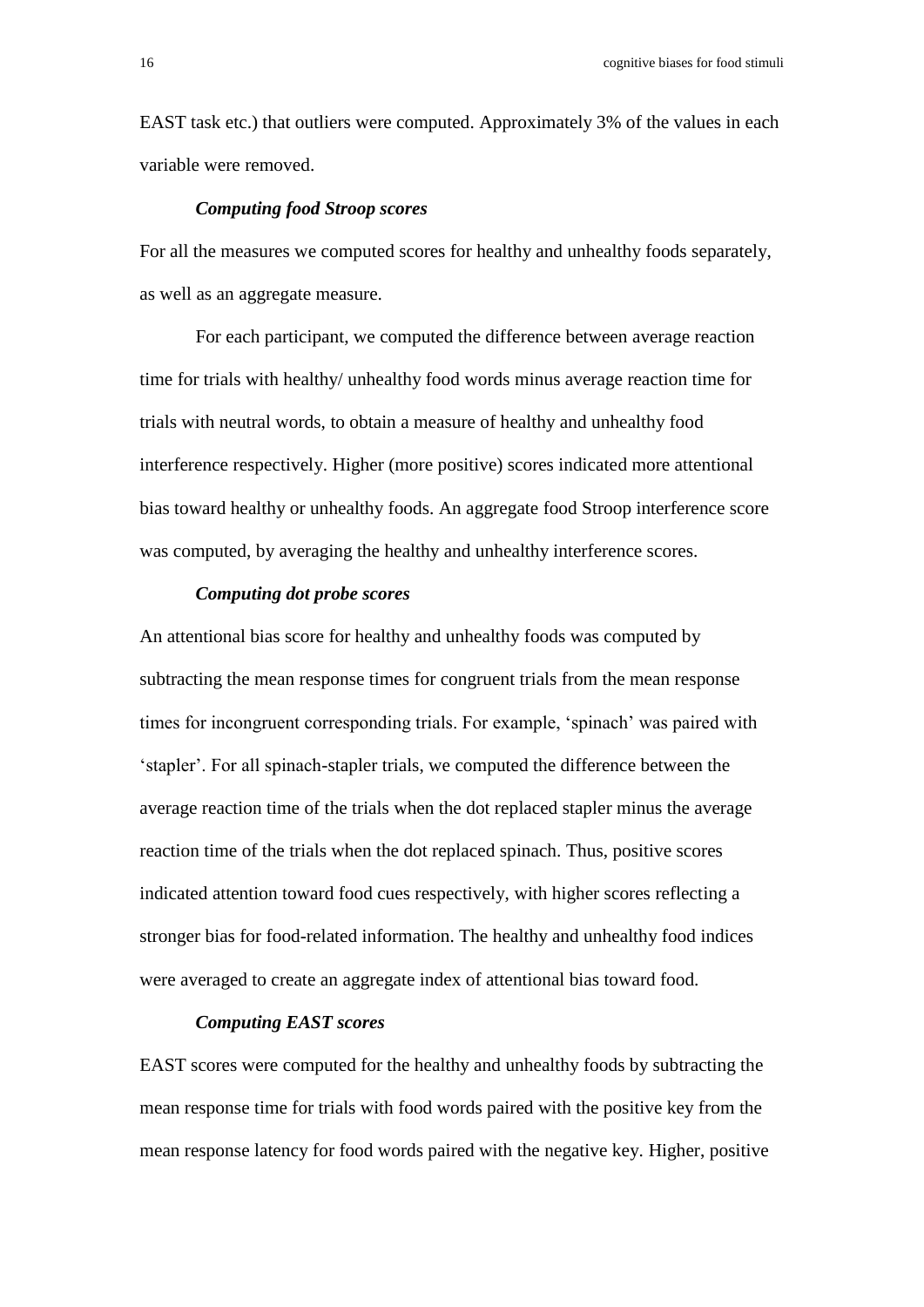EAST task etc.) that outliers were computed. Approximately 3% of the values in each variable were removed.

#### *Computing food Stroop scores*

For all the measures we computed scores for healthy and unhealthy foods separately, as well as an aggregate measure.

For each participant, we computed the difference between average reaction time for trials with healthy/ unhealthy food words minus average reaction time for trials with neutral words, to obtain a measure of healthy and unhealthy food interference respectively. Higher (more positive) scores indicated more attentional bias toward healthy or unhealthy foods. An aggregate food Stroop interference score was computed, by averaging the healthy and unhealthy interference scores.

#### *Computing dot probe scores*

An attentional bias score for healthy and unhealthy foods was computed by subtracting the mean response times for congruent trials from the mean response times for incongruent corresponding trials. For example, 'spinach' was paired with 'stapler'. For all spinach-stapler trials, we computed the difference between the average reaction time of the trials when the dot replaced stapler minus the average reaction time of the trials when the dot replaced spinach. Thus, positive scores indicated attention toward food cues respectively, with higher scores reflecting a stronger bias for food-related information. The healthy and unhealthy food indices were averaged to create an aggregate index of attentional bias toward food.

#### *Computing EAST scores*

EAST scores were computed for the healthy and unhealthy foods by subtracting the mean response time for trials with food words paired with the positive key from the mean response latency for food words paired with the negative key. Higher, positive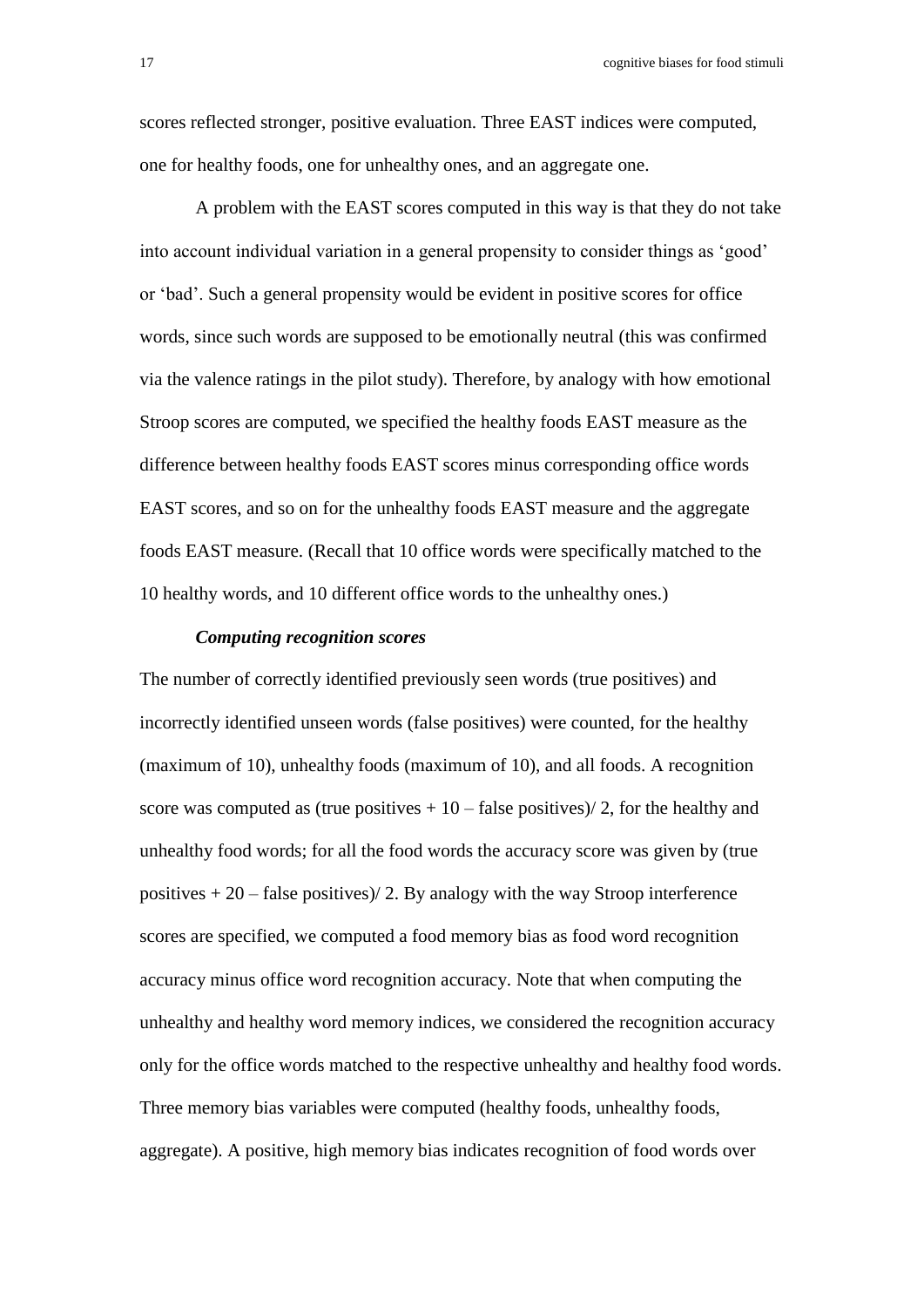scores reflected stronger, positive evaluation. Three EAST indices were computed, one for healthy foods, one for unhealthy ones, and an aggregate one.

A problem with the EAST scores computed in this way is that they do not take into account individual variation in a general propensity to consider things as 'good' or 'bad'. Such a general propensity would be evident in positive scores for office words, since such words are supposed to be emotionally neutral (this was confirmed via the valence ratings in the pilot study). Therefore, by analogy with how emotional Stroop scores are computed, we specified the healthy foods EAST measure as the difference between healthy foods EAST scores minus corresponding office words EAST scores, and so on for the unhealthy foods EAST measure and the aggregate foods EAST measure. (Recall that 10 office words were specifically matched to the 10 healthy words, and 10 different office words to the unhealthy ones.)

#### *Computing recognition scores*

The number of correctly identified previously seen words (true positives) and incorrectly identified unseen words (false positives) were counted, for the healthy (maximum of 10), unhealthy foods (maximum of 10), and all foods. A recognition score was computed as (true positives  $+10$  – false positives)/2, for the healthy and unhealthy food words; for all the food words the accuracy score was given by (true positives  $+ 20 -$  false positives)/ 2. By analogy with the way Stroop interference scores are specified, we computed a food memory bias as food word recognition accuracy minus office word recognition accuracy. Note that when computing the unhealthy and healthy word memory indices, we considered the recognition accuracy only for the office words matched to the respective unhealthy and healthy food words. Three memory bias variables were computed (healthy foods, unhealthy foods, aggregate). A positive, high memory bias indicates recognition of food words over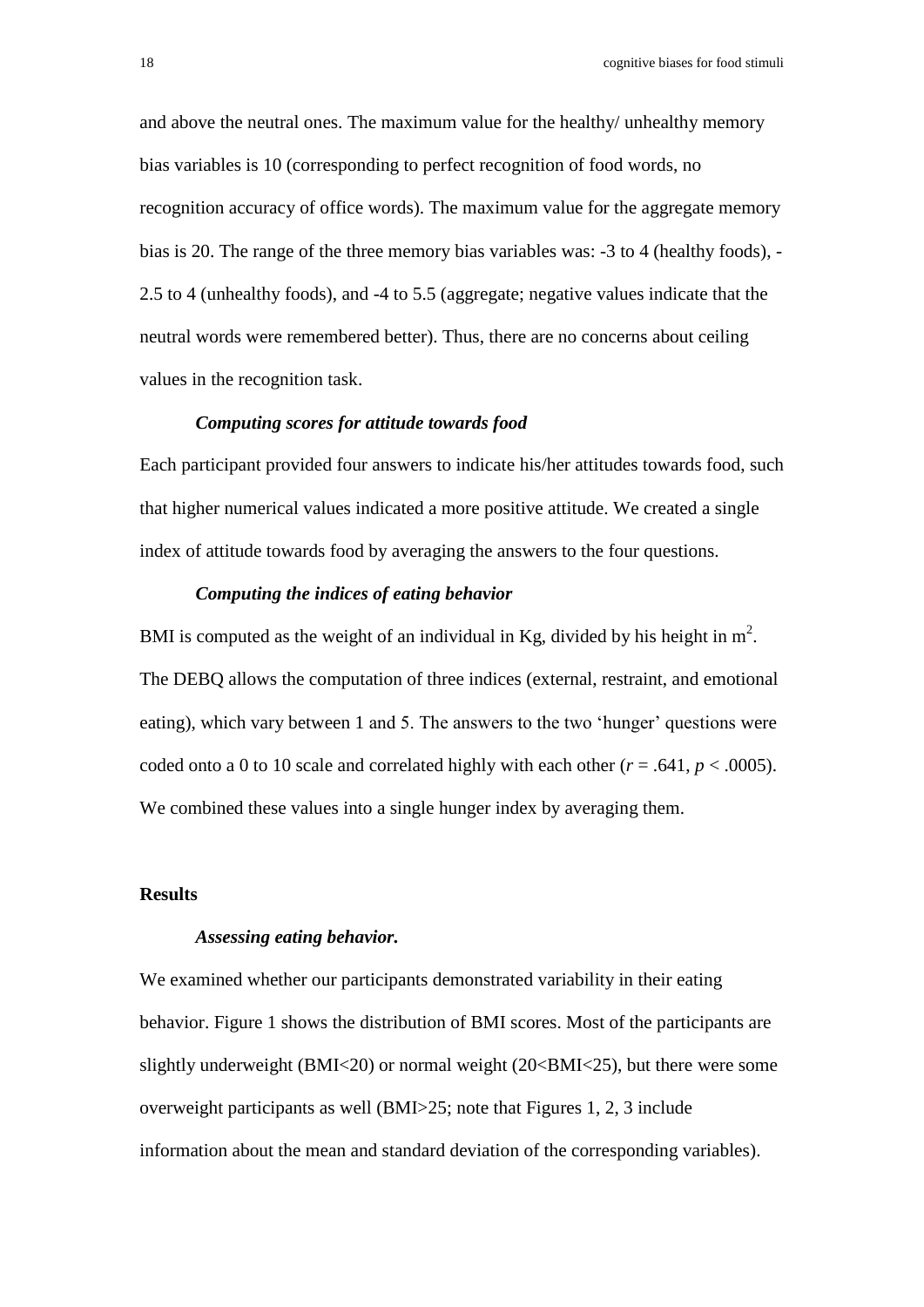and above the neutral ones. The maximum value for the healthy/ unhealthy memory bias variables is 10 (corresponding to perfect recognition of food words, no recognition accuracy of office words). The maximum value for the aggregate memory bias is 20. The range of the three memory bias variables was: -3 to 4 (healthy foods), - 2.5 to 4 (unhealthy foods), and -4 to 5.5 (aggregate; negative values indicate that the neutral words were remembered better). Thus, there are no concerns about ceiling values in the recognition task.

#### *Computing scores for attitude towards food*

Each participant provided four answers to indicate his/her attitudes towards food, such that higher numerical values indicated a more positive attitude. We created a single index of attitude towards food by averaging the answers to the four questions.

#### *Computing the indices of eating behavior*

BMI is computed as the weight of an individual in Kg, divided by his height in  $m^2$ . The DEBQ allows the computation of three indices (external, restraint, and emotional eating), which vary between 1 and 5. The answers to the two 'hunger' questions were coded onto a 0 to 10 scale and correlated highly with each other  $(r = .641, p < .0005)$ . We combined these values into a single hunger index by averaging them.

#### **Results**

#### *Assessing eating behavior.*

We examined whether our participants demonstrated variability in their eating behavior. Figure 1 shows the distribution of BMI scores. Most of the participants are slightly underweight (BMI<20) or normal weight (20<BMI<25), but there were some overweight participants as well (BMI>25; note that Figures 1, 2, 3 include information about the mean and standard deviation of the corresponding variables).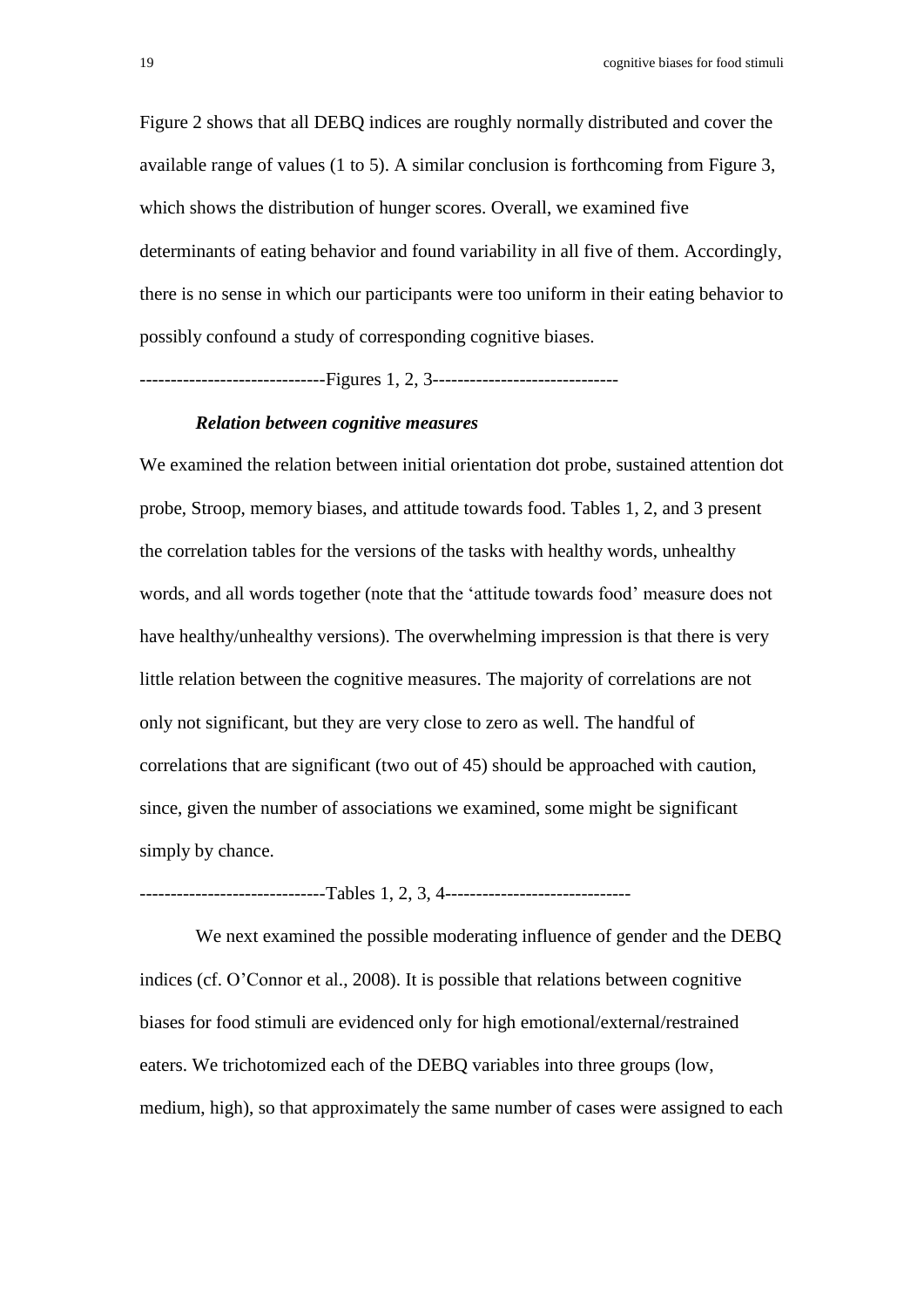Figure 2 shows that all DEBQ indices are roughly normally distributed and cover the available range of values (1 to 5). A similar conclusion is forthcoming from Figure 3, which shows the distribution of hunger scores. Overall, we examined five determinants of eating behavior and found variability in all five of them. Accordingly, there is no sense in which our participants were too uniform in their eating behavior to possibly confound a study of corresponding cognitive biases.

------------------------------Figures 1, 2, 3------------------------------

#### *Relation between cognitive measures*

We examined the relation between initial orientation dot probe, sustained attention dot probe, Stroop, memory biases, and attitude towards food. Tables 1, 2, and 3 present the correlation tables for the versions of the tasks with healthy words, unhealthy words, and all words together (note that the 'attitude towards food' measure does not have healthy/unhealthy versions). The overwhelming impression is that there is very little relation between the cognitive measures. The majority of correlations are not only not significant, but they are very close to zero as well. The handful of correlations that are significant (two out of 45) should be approached with caution, since, given the number of associations we examined, some might be significant simply by chance.

-------------------------------Tables 1, 2, 3, 4--------------------------------

We next examined the possible moderating influence of gender and the DEBQ indices (cf. O'Connor et al., 2008). It is possible that relations between cognitive biases for food stimuli are evidenced only for high emotional/external/restrained eaters. We trichotomized each of the DEBQ variables into three groups (low, medium, high), so that approximately the same number of cases were assigned to each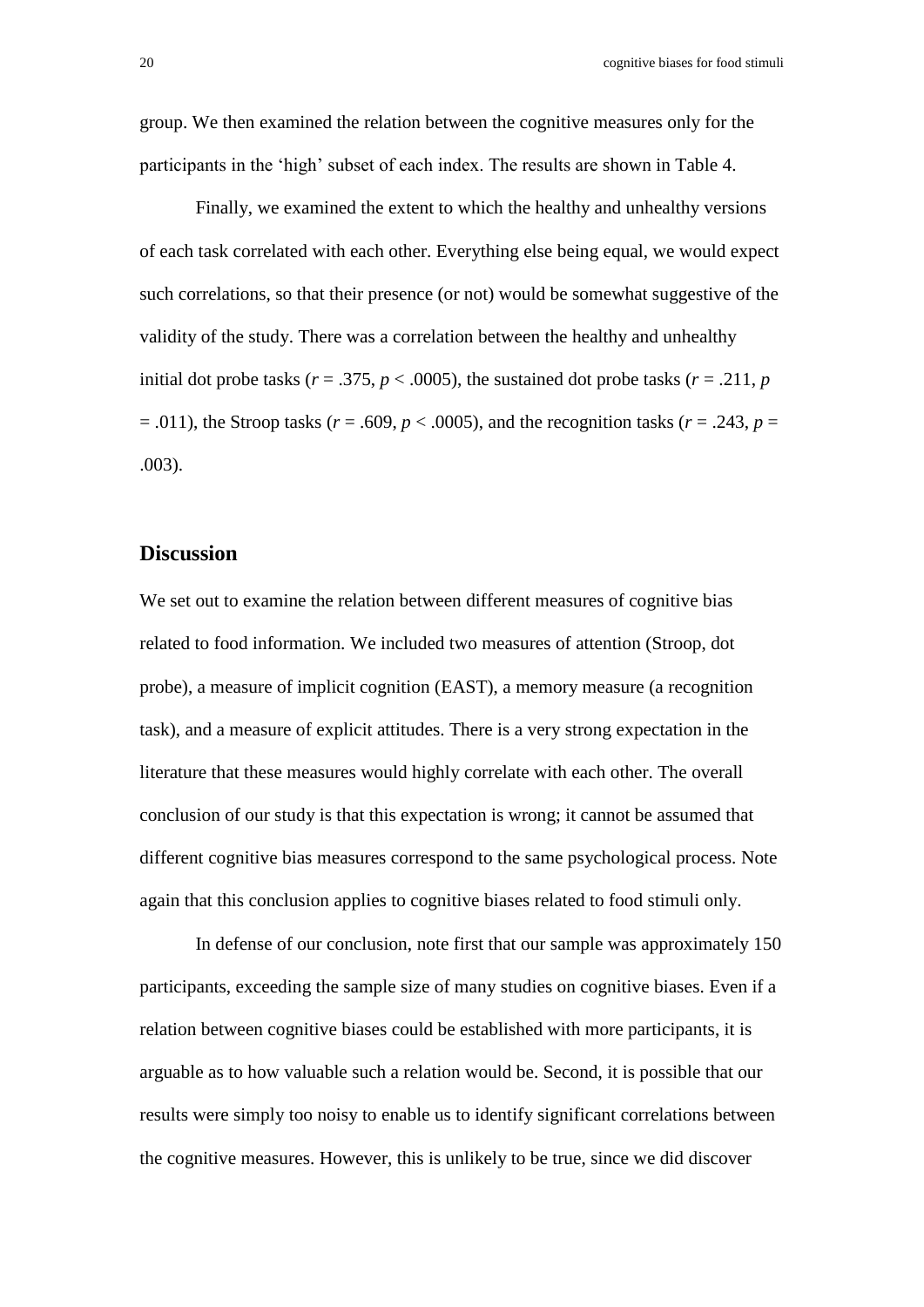group. We then examined the relation between the cognitive measures only for the participants in the 'high' subset of each index. The results are shown in Table 4.

Finally, we examined the extent to which the healthy and unhealthy versions of each task correlated with each other. Everything else being equal, we would expect such correlations, so that their presence (or not) would be somewhat suggestive of the validity of the study. There was a correlation between the healthy and unhealthy initial dot probe tasks ( $r = .375$ ,  $p < .0005$ ), the sustained dot probe tasks ( $r = .211$ ,  $p$  $= .011$ ), the Stroop tasks ( $r = .609$ ,  $p < .0005$ ), and the recognition tasks ( $r = .243$ ,  $p =$ .003).

#### **Discussion**

We set out to examine the relation between different measures of cognitive bias related to food information. We included two measures of attention (Stroop, dot probe), a measure of implicit cognition (EAST), a memory measure (a recognition task), and a measure of explicit attitudes. There is a very strong expectation in the literature that these measures would highly correlate with each other. The overall conclusion of our study is that this expectation is wrong; it cannot be assumed that different cognitive bias measures correspond to the same psychological process. Note again that this conclusion applies to cognitive biases related to food stimuli only.

In defense of our conclusion, note first that our sample was approximately 150 participants, exceeding the sample size of many studies on cognitive biases. Even if a relation between cognitive biases could be established with more participants, it is arguable as to how valuable such a relation would be. Second, it is possible that our results were simply too noisy to enable us to identify significant correlations between the cognitive measures. However, this is unlikely to be true, since we did discover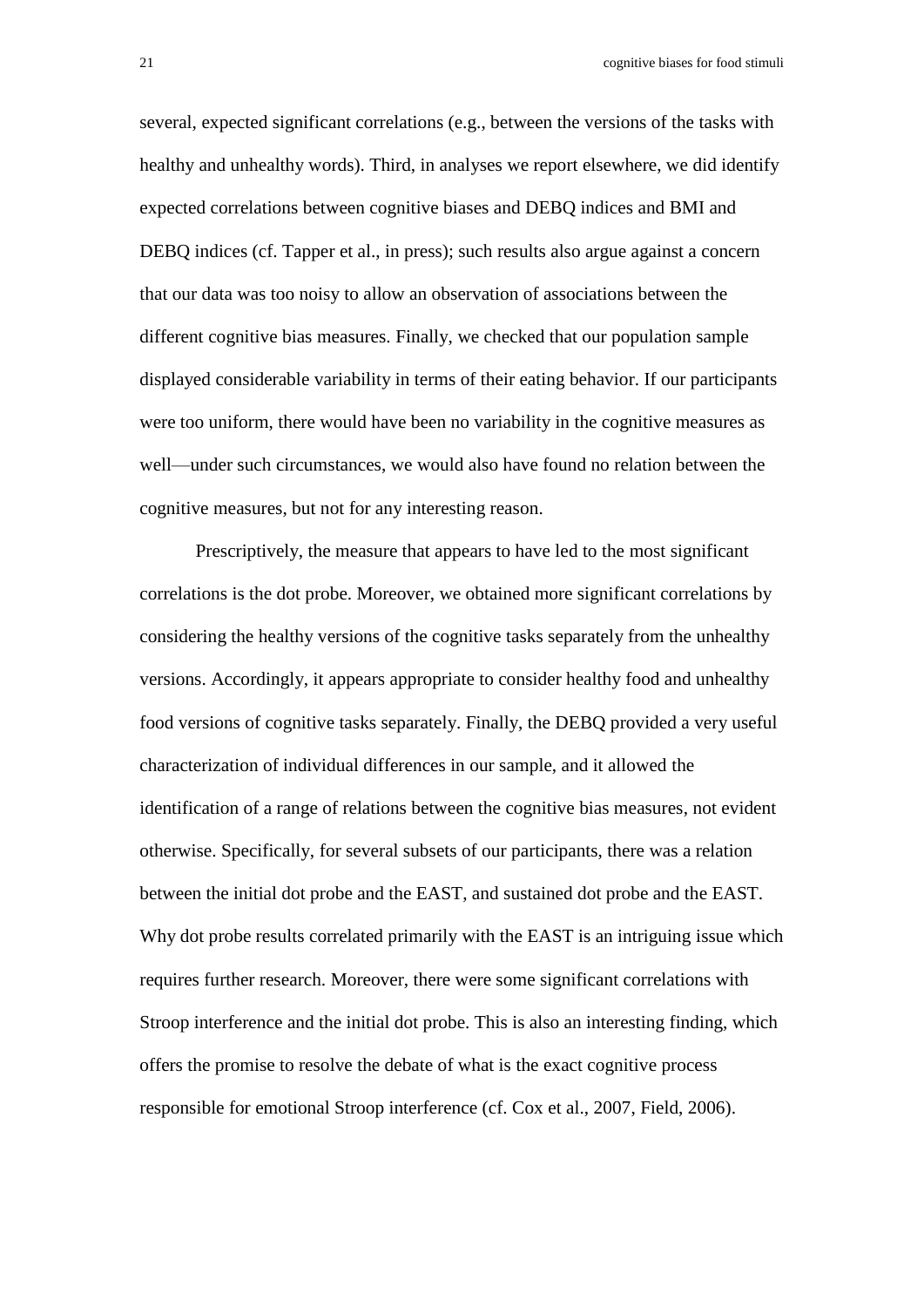several, expected significant correlations (e.g., between the versions of the tasks with healthy and unhealthy words). Third, in analyses we report elsewhere, we did identify expected correlations between cognitive biases and DEBQ indices and BMI and DEBQ indices (cf. Tapper et al., in press); such results also argue against a concern that our data was too noisy to allow an observation of associations between the different cognitive bias measures. Finally, we checked that our population sample displayed considerable variability in terms of their eating behavior. If our participants were too uniform, there would have been no variability in the cognitive measures as well—under such circumstances, we would also have found no relation between the cognitive measures, but not for any interesting reason.

Prescriptively, the measure that appears to have led to the most significant correlations is the dot probe. Moreover, we obtained more significant correlations by considering the healthy versions of the cognitive tasks separately from the unhealthy versions. Accordingly, it appears appropriate to consider healthy food and unhealthy food versions of cognitive tasks separately. Finally, the DEBQ provided a very useful characterization of individual differences in our sample, and it allowed the identification of a range of relations between the cognitive bias measures, not evident otherwise. Specifically, for several subsets of our participants, there was a relation between the initial dot probe and the EAST, and sustained dot probe and the EAST. Why dot probe results correlated primarily with the EAST is an intriguing issue which requires further research. Moreover, there were some significant correlations with Stroop interference and the initial dot probe. This is also an interesting finding, which offers the promise to resolve the debate of what is the exact cognitive process responsible for emotional Stroop interference (cf. Cox et al., 2007, Field, 2006).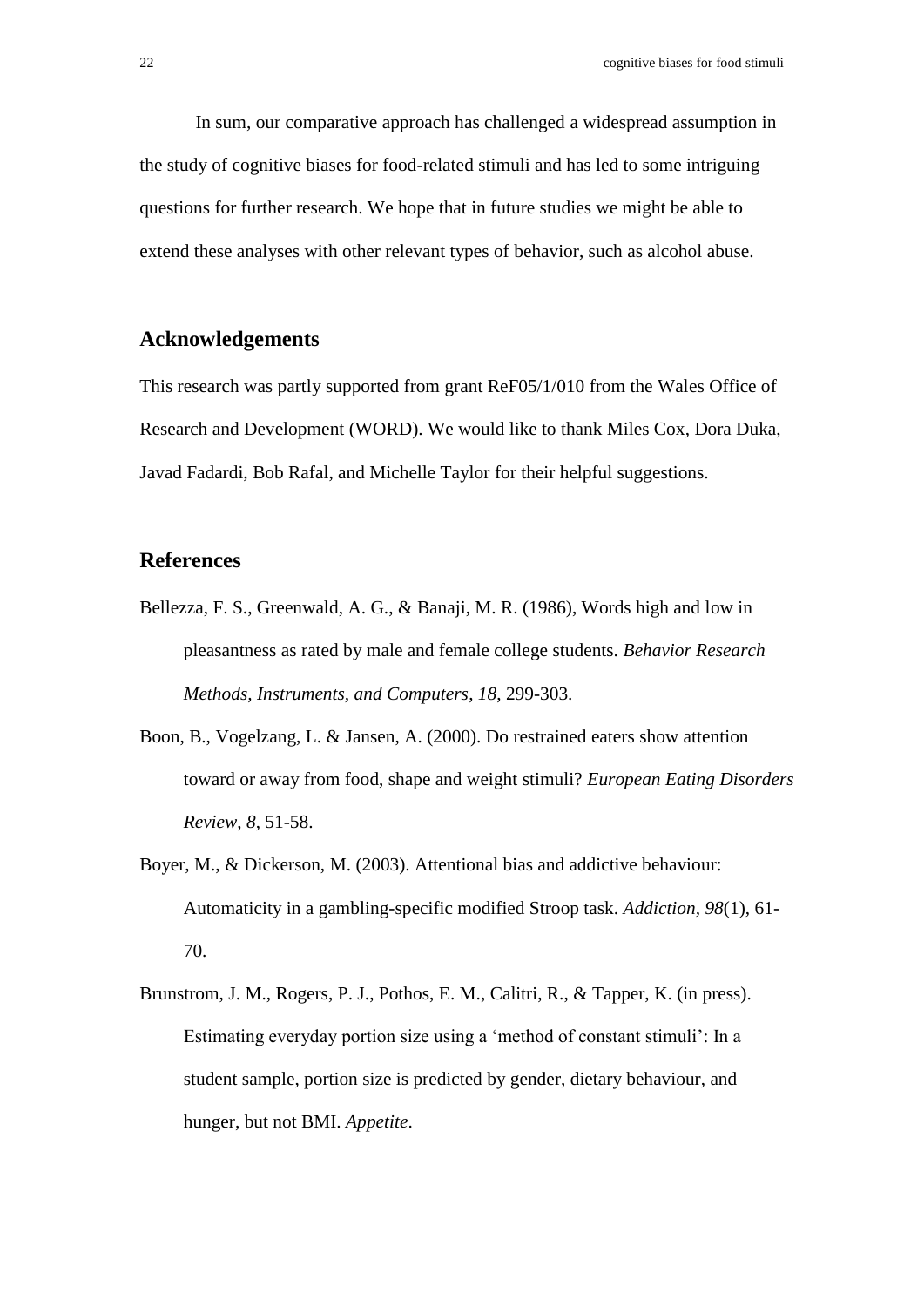In sum, our comparative approach has challenged a widespread assumption in the study of cognitive biases for food-related stimuli and has led to some intriguing questions for further research. We hope that in future studies we might be able to extend these analyses with other relevant types of behavior, such as alcohol abuse.

### **Acknowledgements**

This research was partly supported from grant ReF05/1/010 from the Wales Office of Research and Development (WORD). We would like to thank Miles Cox, Dora Duka, Javad Fadardi, Bob Rafal, and Michelle Taylor for their helpful suggestions.

### **References**

- Bellezza, F. S., Greenwald, A. G., & Banaji, M. R. (1986), Words high and low in pleasantness as rated by male and female college students. *Behavior Research Methods, Instruments, and Computers*, *18*, 299-303.
- Boon, B., Vogelzang, L. & Jansen, A. (2000). Do restrained eaters show attention toward or away from food, shape and weight stimuli? *European Eating Disorders Review*, *8*, 51-58.
- Boyer, M., & Dickerson, M. (2003). Attentional bias and addictive behaviour: Automaticity in a gambling-specific modified Stroop task. *Addiction, 98*(1), 61- 70.
- Brunstrom, J. M., Rogers, P. J., Pothos, E. M., Calitri, R., & Tapper, K. (in press). Estimating everyday portion size using a 'method of constant stimuli': In a student sample, portion size is predicted by gender, dietary behaviour, and hunger, but not BMI. *Appetite*.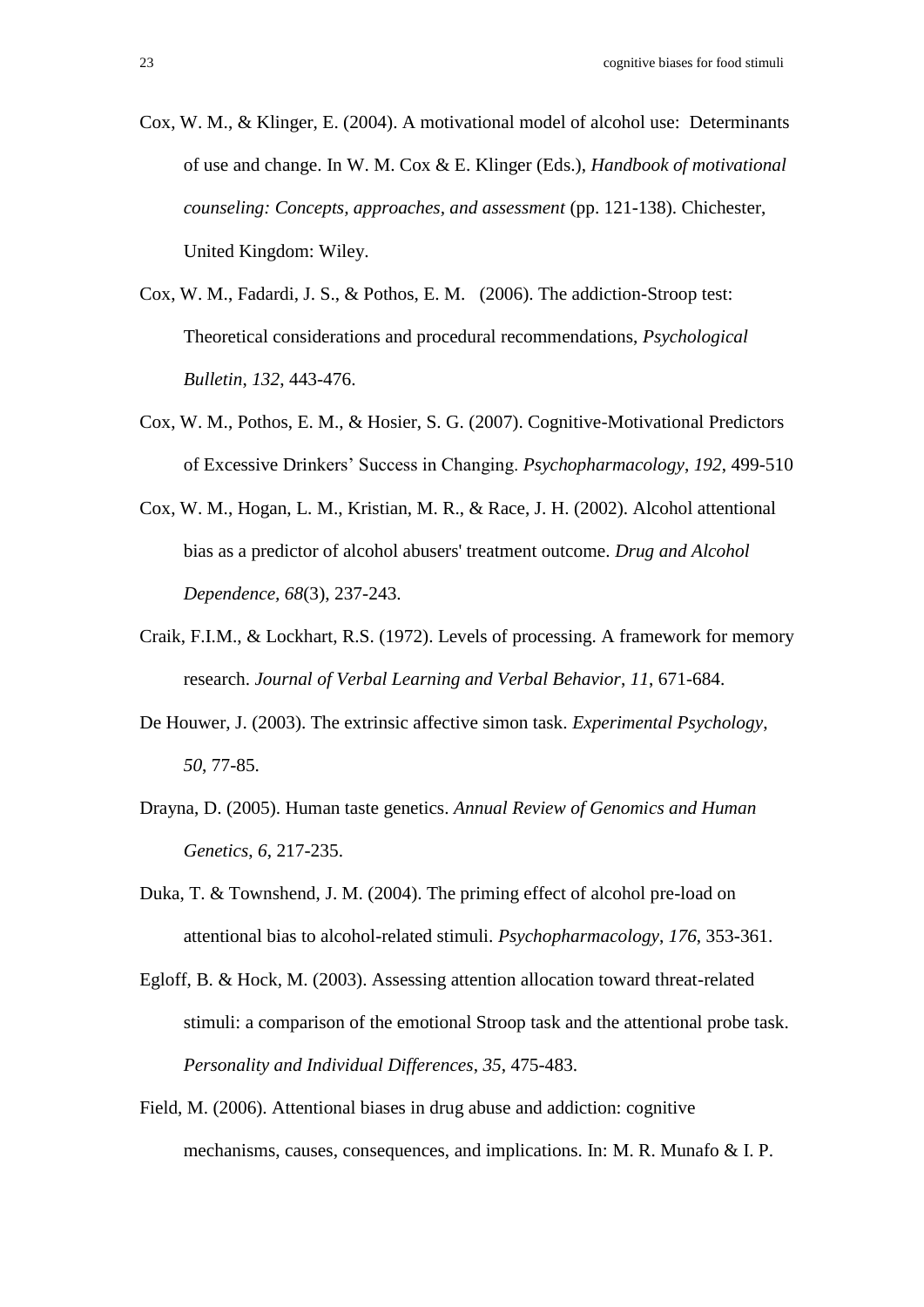- Cox, W. M., & Klinger, E. (2004). A motivational model of alcohol use: Determinants of use and change. In W. M. Cox & E. Klinger (Eds.), *Handbook of motivational counseling: Concepts, approaches, and assessment* (pp. 121-138). Chichester, United Kingdom: Wiley.
- Cox, W. M., Fadardi, J. S., & Pothos, E. M. (2006). The addiction-Stroop test: Theoretical considerations and procedural recommendations, *Psychological Bulletin*, *132*, 443-476.
- Cox, W. M., Pothos, E. M., & Hosier, S. G. (2007). Cognitive-Motivational Predictors of Excessive Drinkers' Success in Changing. *Psychopharmacology*, *192*, 499-510
- Cox, W. M., Hogan, L. M., Kristian, M. R., & Race, J. H. (2002). Alcohol attentional bias as a predictor of alcohol abusers' treatment outcome. *Drug and Alcohol Dependence, 68*(3), 237-243.
- Craik, F.I.M., & Lockhart, R.S. (1972). Levels of processing. A framework for memory research. *Journal of Verbal Learning and Verbal Behavior*, *11*, 671-684.
- De Houwer, J. (2003). The extrinsic affective simon task. *Experimental Psychology*, *50*, 77-85.
- Drayna, D. (2005). Human taste genetics. *Annual Review of Genomics and Human Genetics*, *6*, 217-235.
- Duka, T. & Townshend, J. M. (2004). The priming effect of alcohol pre-load on attentional bias to alcohol-related stimuli. *Psychopharmacology*, *176*, 353-361.
- Egloff, B. & Hock, M. (2003). Assessing attention allocation toward threat-related stimuli: a comparison of the emotional Stroop task and the attentional probe task. *Personality and Individual Differences*, *35*, 475-483.
- Field, M. (2006). Attentional biases in drug abuse and addiction: cognitive mechanisms, causes, consequences, and implications. In: M. R. Munafo & I. P.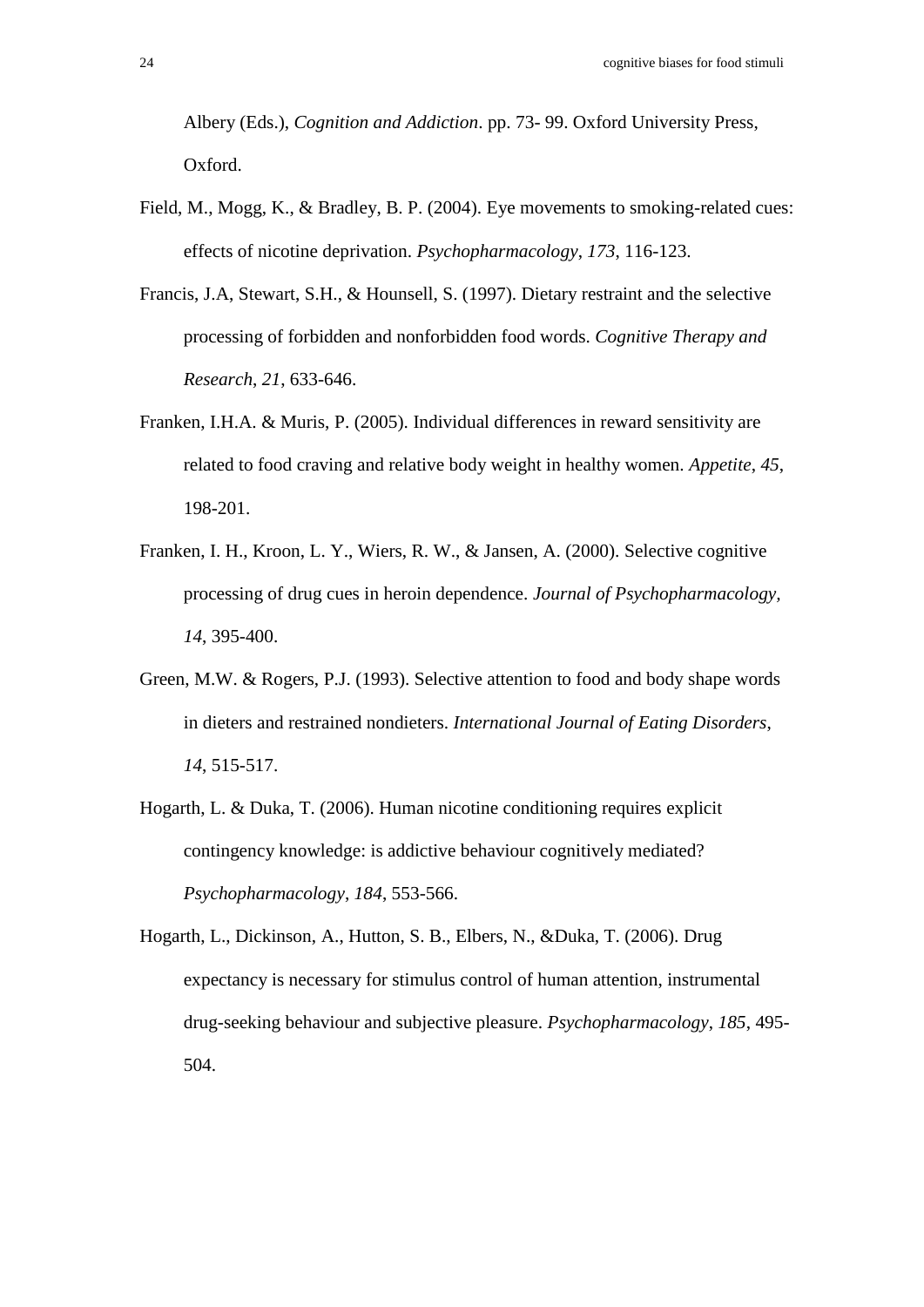Albery (Eds.), *Cognition and Addiction*. pp. 73- 99. Oxford University Press, Oxford.

- Field, M., Mogg, K., & Bradley, B. P. (2004). Eye movements to smoking-related cues: effects of nicotine deprivation. *Psychopharmacology*, *173*, 116-123.
- Francis, J.A, Stewart, S.H., & Hounsell, S. (1997). Dietary restraint and the selective processing of forbidden and nonforbidden food words. *Cognitive Therapy and Research*, *21*, 633-646.
- Franken, I.H.A. & Muris, P. (2005). Individual differences in reward sensitivity are related to food craving and relative body weight in healthy women. *Appetite*, *45*, 198-201.
- Franken, I. H., Kroon, L. Y., Wiers, R. W., & Jansen, A. (2000). Selective cognitive processing of drug cues in heroin dependence. *Journal of Psychopharmacology, 14*, 395-400.
- Green, M.W. & Rogers, P.J. (1993). Selective attention to food and body shape words in dieters and restrained nondieters. *International Journal of Eating Disorders*, *14*, 515-517.
- Hogarth, L. & Duka, T. (2006). Human nicotine conditioning requires explicit contingency knowledge: is addictive behaviour cognitively mediated? *Psychopharmacology*, *184*, 553-566.
- Hogarth, L., Dickinson, A., Hutton, S. B., Elbers, N., &Duka, T. (2006). Drug expectancy is necessary for stimulus control of human attention, instrumental drug-seeking behaviour and subjective pleasure. *Psychopharmacology*, *185*, 495- 504.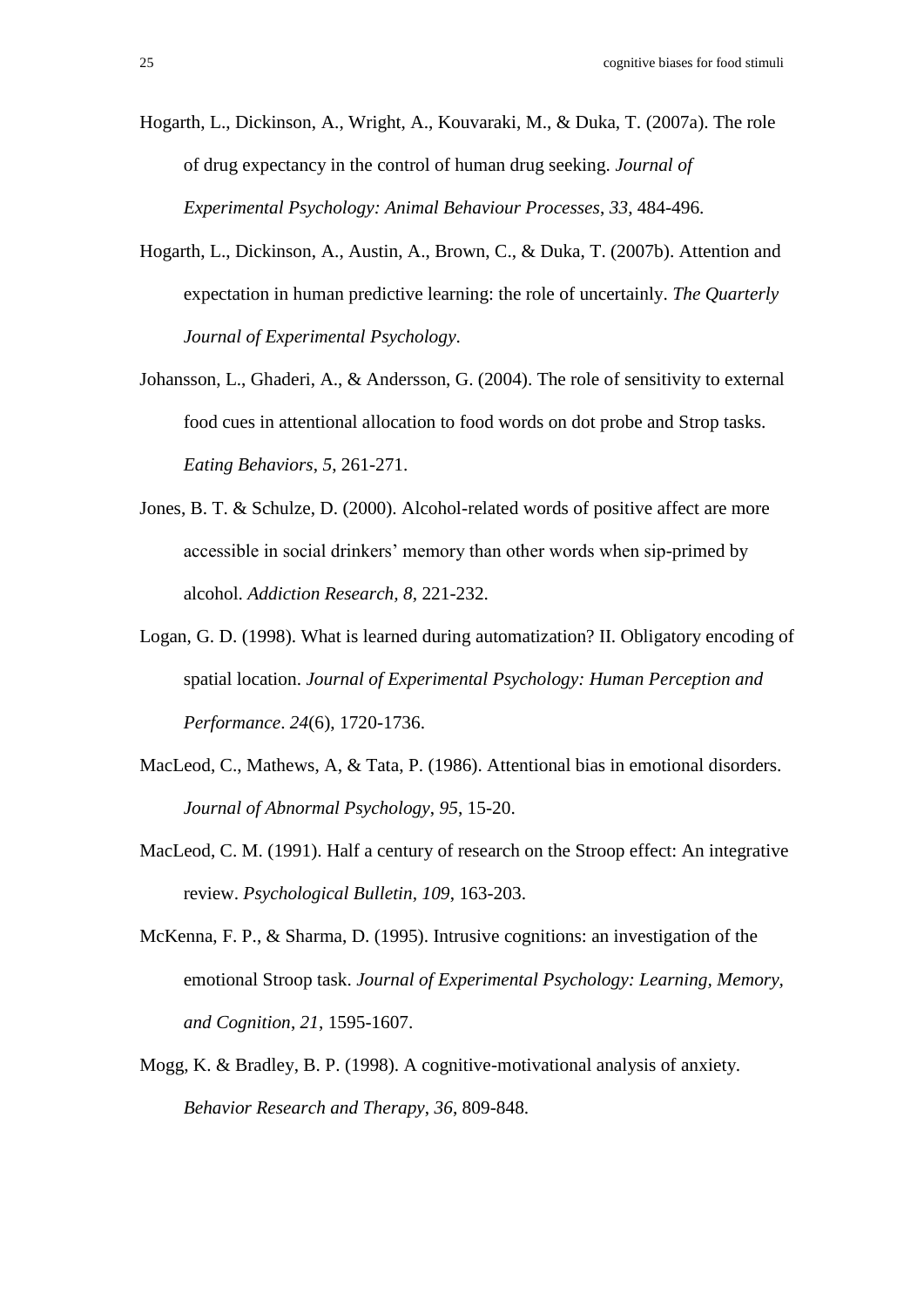Hogarth, L., Dickinson, A., Wright, A., Kouvaraki, M., & Duka, T. (2007a). The role of drug expectancy in the control of human drug seeking. *Journal of Experimental Psychology: Animal Behaviour Processes*, *33*, 484-496.

- Hogarth, L., Dickinson, A., Austin, A., Brown, C., & Duka, T. (2007b). Attention and expectation in human predictive learning: the role of uncertainly. *The Quarterly Journal of Experimental Psychology*.
- Johansson, L., Ghaderi, A., & Andersson, G. (2004). The role of sensitivity to external food cues in attentional allocation to food words on dot probe and Strop tasks. *Eating Behaviors*, *5*, 261-271.
- Jones, B. T. & Schulze, D. (2000). Alcohol-related words of positive affect are more accessible in social drinkers' memory than other words when sip-primed by alcohol. *Addiction Research, 8,* 221-232.
- Logan, G. D. (1998). What is learned during automatization? II. Obligatory encoding of spatial location. *Journal of Experimental Psychology: Human Perception and Performance*. *24*(6), 1720-1736.
- MacLeod, C., Mathews, A, & Tata, P. (1986). Attentional bias in emotional disorders. *Journal of Abnormal Psychology*, *95*, 15-20.
- MacLeod, C. M. (1991). Half a century of research on the Stroop effect: An integrative review. *Psychological Bulletin, 109*, 163-203.
- McKenna, F. P., & Sharma, D. (1995). Intrusive cognitions: an investigation of the emotional Stroop task. *Journal of Experimental Psychology: Learning, Memory, and Cognition*, *21*, 1595-1607.
- Mogg, K. & Bradley, B. P. (1998). A cognitive-motivational analysis of anxiety. *Behavior Research and Therapy*, *36*, 809-848.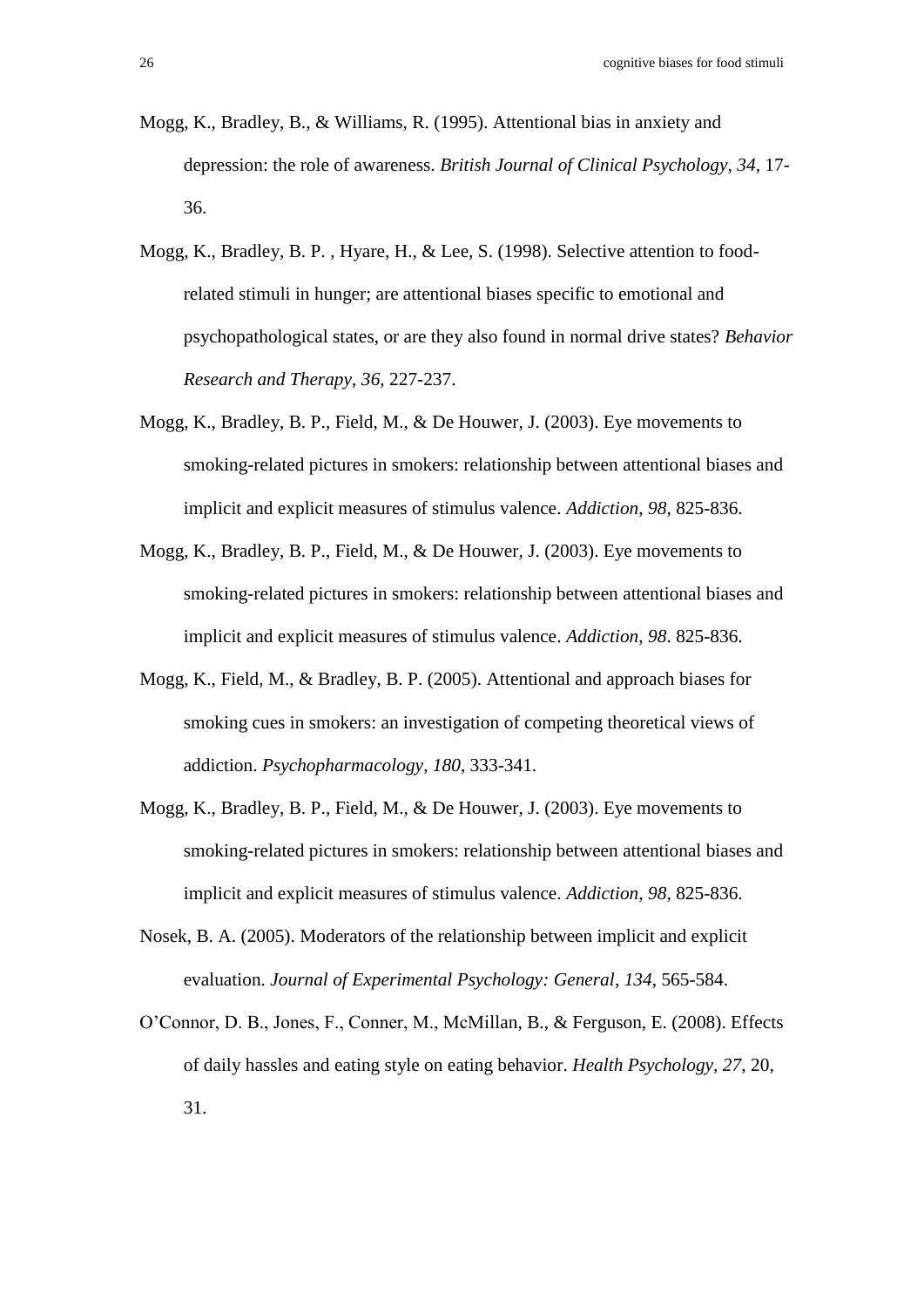- Mogg, K., Bradley, B., & Williams, R. (1995). Attentional bias in anxiety and depression: the role of awareness. *British Journal of Clinical Psychology*, *34*, 17- 36.
- Mogg, K., Bradley, B. P. , Hyare, H., & Lee, S. (1998). Selective attention to foodrelated stimuli in hunger; are attentional biases specific to emotional and psychopathological states, or are they also found in normal drive states? *Behavior Research and Therapy*, *36*, 227-237.
- Mogg, K., Bradley, B. P., Field, M., & De Houwer, J. (2003). Eye movements to smoking-related pictures in smokers: relationship between attentional biases and implicit and explicit measures of stimulus valence. *Addiction*, *98*, 825-836.
- Mogg, K., Bradley, B. P., Field, M., & De Houwer, J. (2003). Eye movements to smoking-related pictures in smokers: relationship between attentional biases and implicit and explicit measures of stimulus valence. *Addiction*, *98*. 825-836.
- Mogg, K., Field, M., & Bradley, B. P. (2005). Attentional and approach biases for smoking cues in smokers: an investigation of competing theoretical views of addiction. *Psychopharmacology*, *180*, 333-341.
- Mogg, K., Bradley, B. P., Field, M., & De Houwer, J. (2003). Eye movements to smoking-related pictures in smokers: relationship between attentional biases and implicit and explicit measures of stimulus valence. *Addiction*, *98*, 825-836.
- Nosek, B. A. (2005). Moderators of the relationship between implicit and explicit evaluation. *Journal of Experimental Psychology: General*, *134*, 565-584.
- O'Connor, D. B., Jones, F., Conner, M., McMillan, B., & Ferguson, E. (2008). Effects of daily hassles and eating style on eating behavior. *Health Psychology, 27*, 20, 31.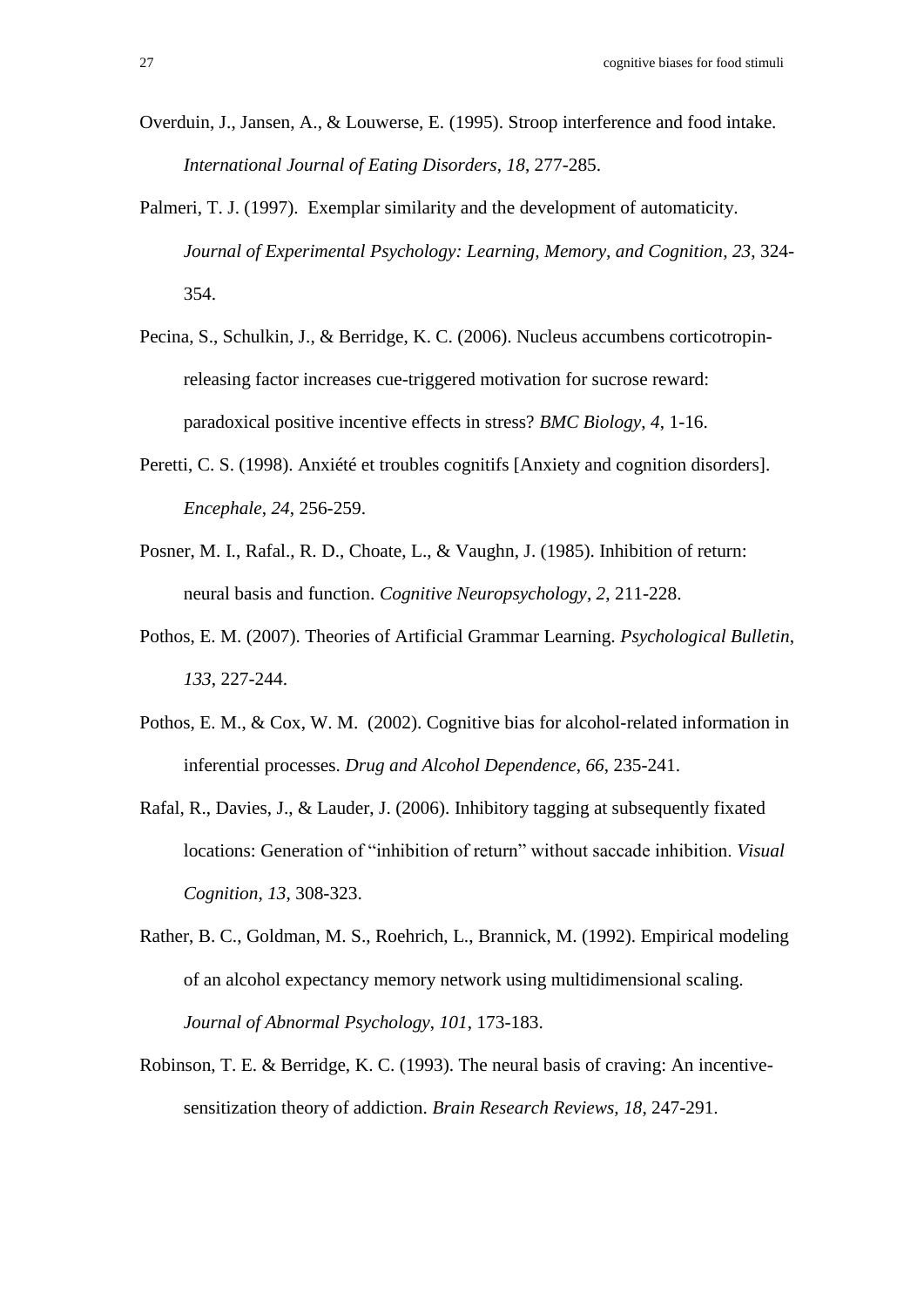- Overduin, J., Jansen, A., & Louwerse, E. (1995). Stroop interference and food intake. *International Journal of Eating Disorders*, *18*, 277-285.
- Palmeri, T. J. (1997). Exemplar similarity and the development of automaticity. *Journal of Experimental Psychology: Learning, Memory, and Cognition*, *23*, 324- 354.
- Pecina, S., Schulkin, J., & Berridge, K. C. (2006). Nucleus accumbens corticotropinreleasing factor increases cue-triggered motivation for sucrose reward: paradoxical positive incentive effects in stress? *BMC Biology*, *4*, 1-16.
- Peretti, C. S. (1998). Anxiété et troubles cognitifs [Anxiety and cognition disorders]. *Encephale*, *24*, 256-259.
- Posner, M. I., Rafal., R. D., Choate, L., & Vaughn, J. (1985). Inhibition of return: neural basis and function. *Cognitive Neuropsychology*, *2*, 211-228.
- Pothos, E. M. (2007). Theories of Artificial Grammar Learning. *Psychological Bulletin*, *133*, 227-244.
- Pothos, E. M., & Cox, W. M. (2002). Cognitive bias for alcohol-related information in inferential processes. *Drug and Alcohol Dependence*, *66*, 235-241.
- Rafal, R., Davies, J., & Lauder, J. (2006). Inhibitory tagging at subsequently fixated locations: Generation of "inhibition of return" without saccade inhibition. *Visual Cognition*, *13*, 308-323.
- Rather, B. C., Goldman, M. S., Roehrich, L., Brannick, M. (1992). Empirical modeling of an alcohol expectancy memory network using multidimensional scaling. *Journal of Abnormal Psychology*, *101*, 173-183.
- Robinson, T. E. & Berridge, K. C. (1993). The neural basis of craving: An incentivesensitization theory of addiction. *Brain Research Reviews, 18*, 247-291.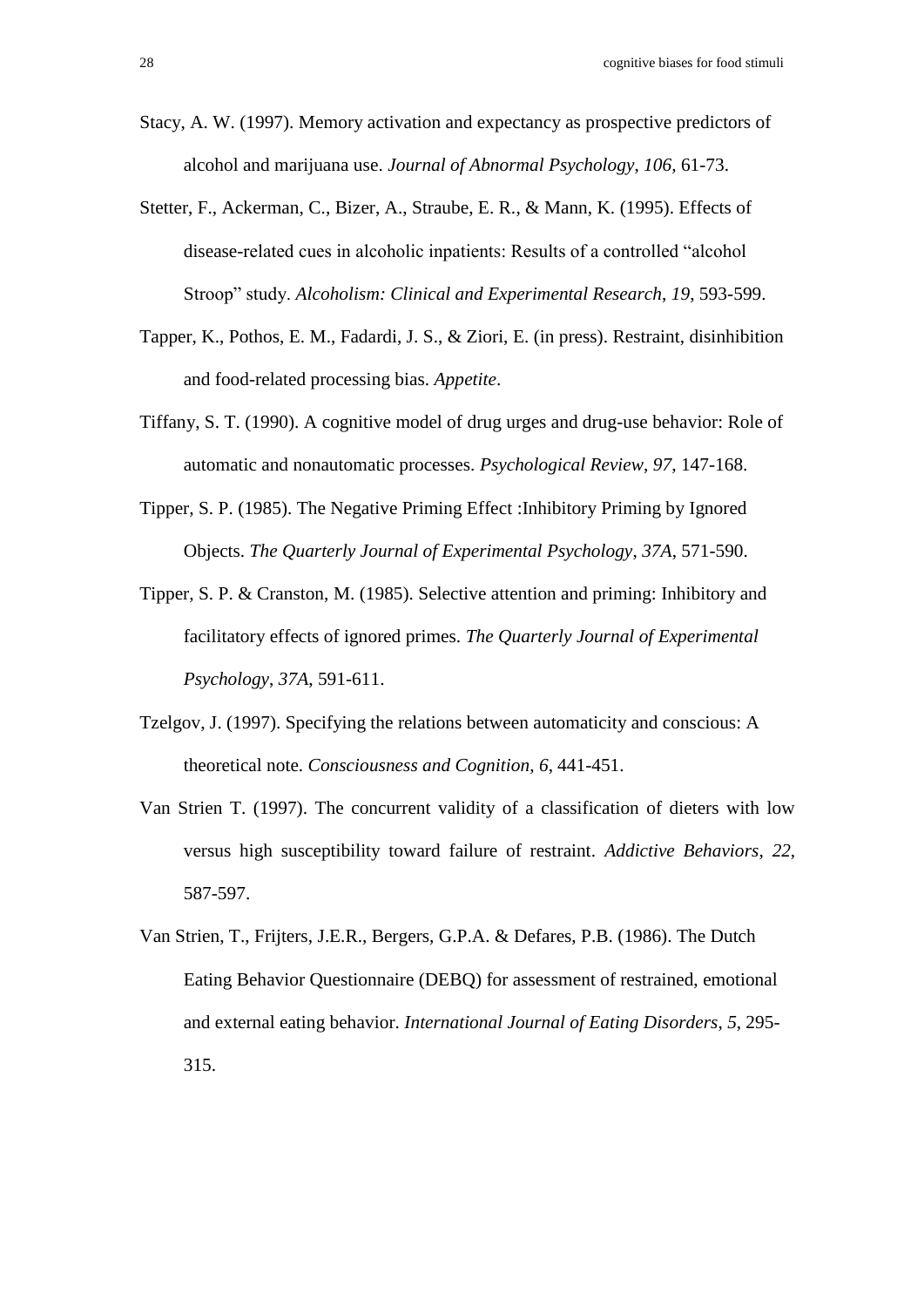- Stacy, A. W. (1997). Memory activation and expectancy as prospective predictors of alcohol and marijuana use. *Journal of Abnormal Psychology*, *106,* 61-73.
- Stetter, F., Ackerman, C., Bizer, A., Straube, E. R., & Mann, K. (1995). Effects of disease-related cues in alcoholic inpatients: Results of a controlled "alcohol Stroop" study. *Alcoholism: Clinical and Experimental Research*, *19*, 593-599.
- Tapper, K., Pothos, E. M., Fadardi, J. S., & Ziori, E. (in press). Restraint, disinhibition and food-related processing bias. *Appetite*.
- Tiffany, S. T. (1990). A cognitive model of drug urges and drug-use behavior: Role of automatic and nonautomatic processes. *Psychological Review*, *97*, 147-168.
- Tipper, S. P. (1985). The Negative Priming Effect :Inhibitory Priming by Ignored Objects. *The Quarterly Journal of Experimental Psychology*, *37A*, 571-590.
- Tipper, S. P. & Cranston, M. (1985). Selective attention and priming: Inhibitory and facilitatory effects of ignored primes. *The Quarterly Journal of Experimental Psychology*, *37A*, 591-611.
- Tzelgov, J. (1997). Specifying the relations between automaticity and conscious: A theoretical note. *Consciousness and Cognition*, *6*, 441-451.
- Van Strien T. (1997). The concurrent validity of a classification of dieters with low versus high susceptibility toward failure of restraint. *Addictive Behaviors*, *22*, 587-597.
- Van Strien, T., Frijters, J.E.R., Bergers, G.P.A. & Defares, P.B. (1986). The Dutch Eating Behavior Questionnaire (DEBQ) for assessment of restrained, emotional and external eating behavior. *International Journal of Eating Disorders*, *5*, 295- 315.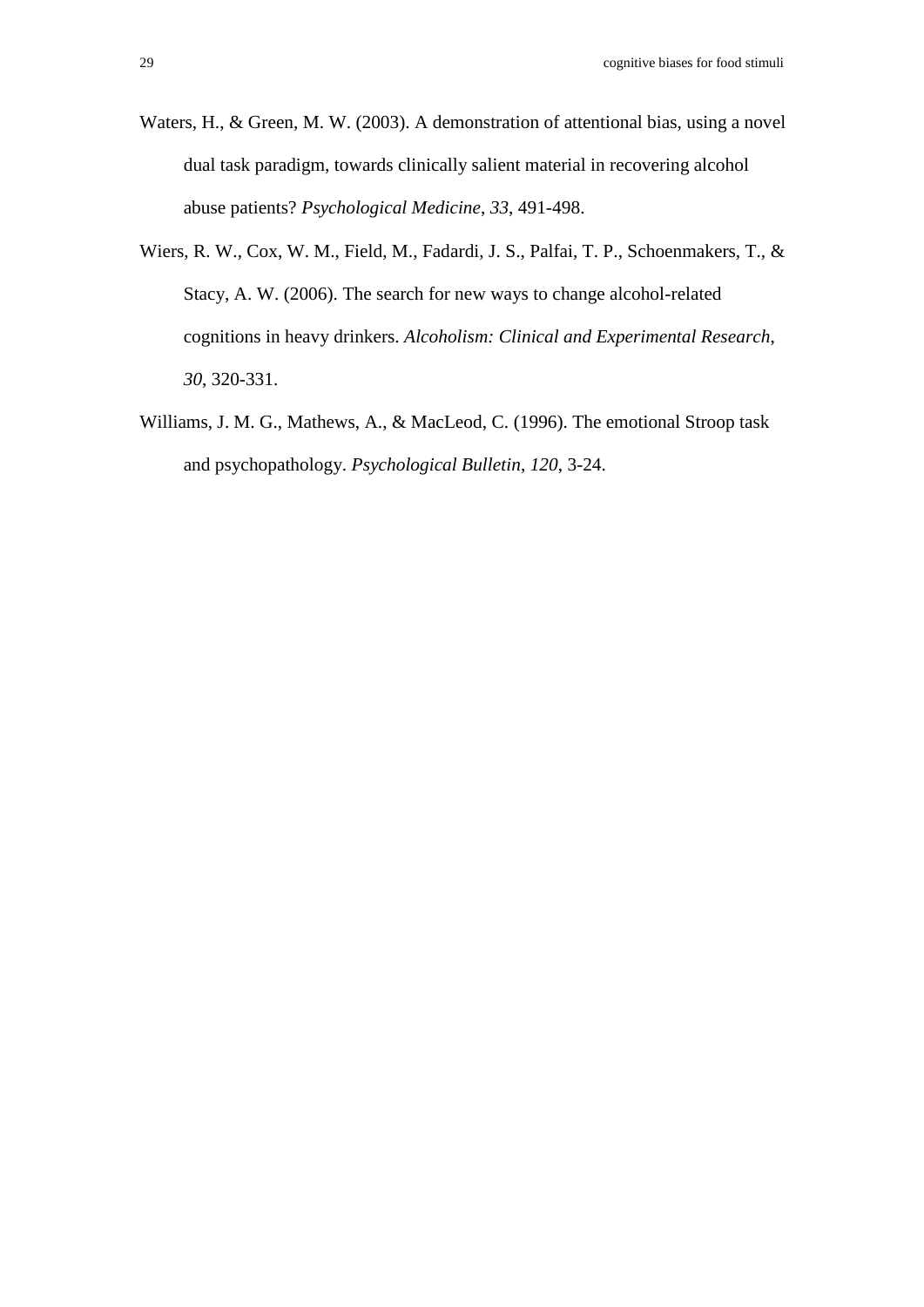- Waters, H., & Green, M. W. (2003). A demonstration of attentional bias, using a novel dual task paradigm, towards clinically salient material in recovering alcohol abuse patients? *Psychological Medicine*, *33*, 491-498.
- Wiers, R. W., Cox, W. M., Field, M., Fadardi, J. S., Palfai, T. P., Schoenmakers, T., & Stacy, A. W. (2006). The search for new ways to change alcohol-related cognitions in heavy drinkers. *Alcoholism: Clinical and Experimental Research*, *30*, 320-331.
- Williams, J. M. G., Mathews, A., & MacLeod, C. (1996). The emotional Stroop task and psychopathology. *Psychological Bulletin*, *120*, 3-24.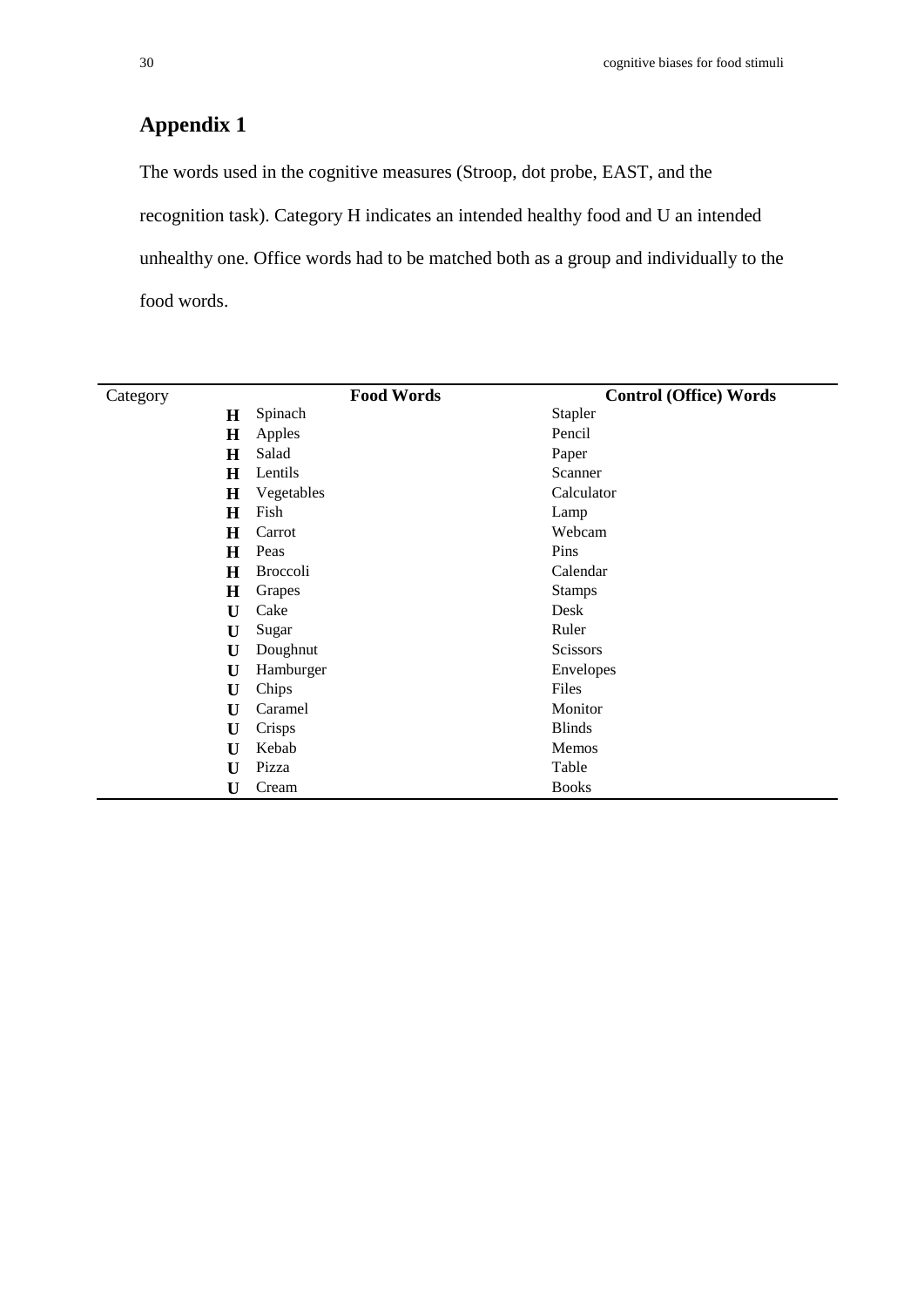## **Appendix 1**

The words used in the cognitive measures (Stroop, dot probe, EAST, and the recognition task). Category H indicates an intended healthy food and U an intended unhealthy one. Office words had to be matched both as a group and individually to the food words.

| Category     | <b>Food Words</b> | <b>Control (Office) Words</b> |
|--------------|-------------------|-------------------------------|
| $\mathbf H$  | Spinach           | Stapler                       |
| $\bf H$      | Apples            | Pencil                        |
| H            | Salad             | Paper                         |
| $\bf H$      | Lentils           | Scanner                       |
| $\bf H$      | Vegetables        | Calculator                    |
| $\bf H$      | Fish              | Lamp                          |
| H            | Carrot            | Webcam                        |
| $\bf H$      | Peas              | Pins                          |
| H            | <b>Broccoli</b>   | Calendar                      |
| H            | Grapes            | <b>Stamps</b>                 |
| U            | Cake              | Desk                          |
| U            | Sugar             | Ruler                         |
| U            | Doughnut          | <b>Scissors</b>               |
| U            | Hamburger         | Envelopes                     |
| U            | Chips             | Files                         |
| U            | Caramel           | Monitor                       |
| U            | Crisps            | <b>Blinds</b>                 |
| U            | Kebab             | Memos                         |
| $\mathbf{U}$ | Pizza             | Table                         |
| U            | Cream             | <b>Books</b>                  |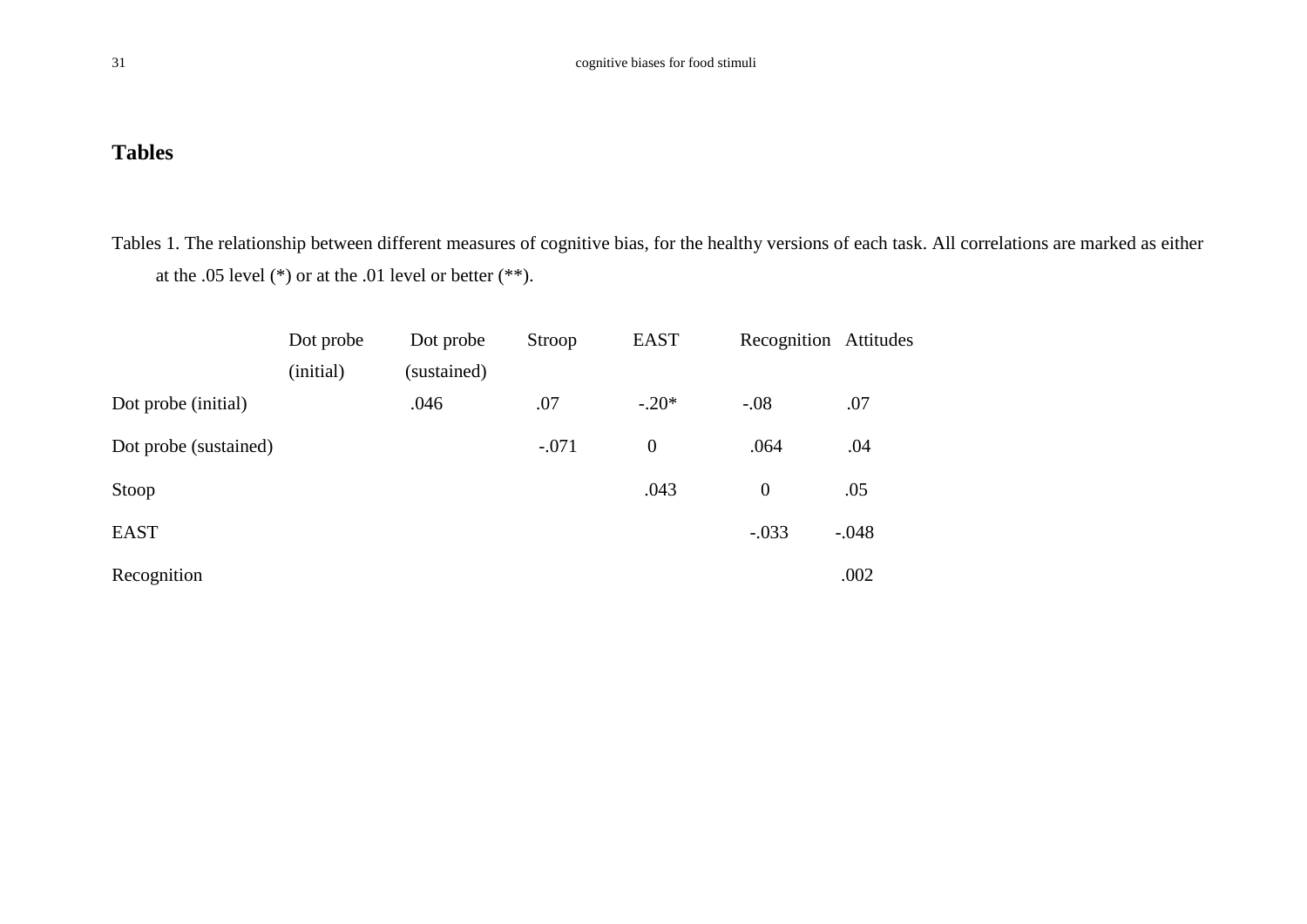## **Tables**

Tables 1. The relationship between different measures of cognitive bias, for the healthy versions of each task. All correlations are marked as either at the .05 level (\*) or at the .01 level or better (\*\*).

|                       | Dot probe | Dot probe   | Stroop  | <b>EAST</b> | Recognition Attitudes |         |
|-----------------------|-----------|-------------|---------|-------------|-----------------------|---------|
|                       | (initial) | (sustained) |         |             |                       |         |
| Dot probe (initial)   |           | .046        | .07     | $-.20*$     | $-.08$                | .07     |
| Dot probe (sustained) |           |             | $-.071$ | $\theta$    | .064                  | .04     |
| Stoop                 |           |             |         | .043        | $\theta$              | .05     |
| <b>EAST</b>           |           |             |         |             | $-.033$               | $-.048$ |
| Recognition           |           |             |         |             |                       | .002    |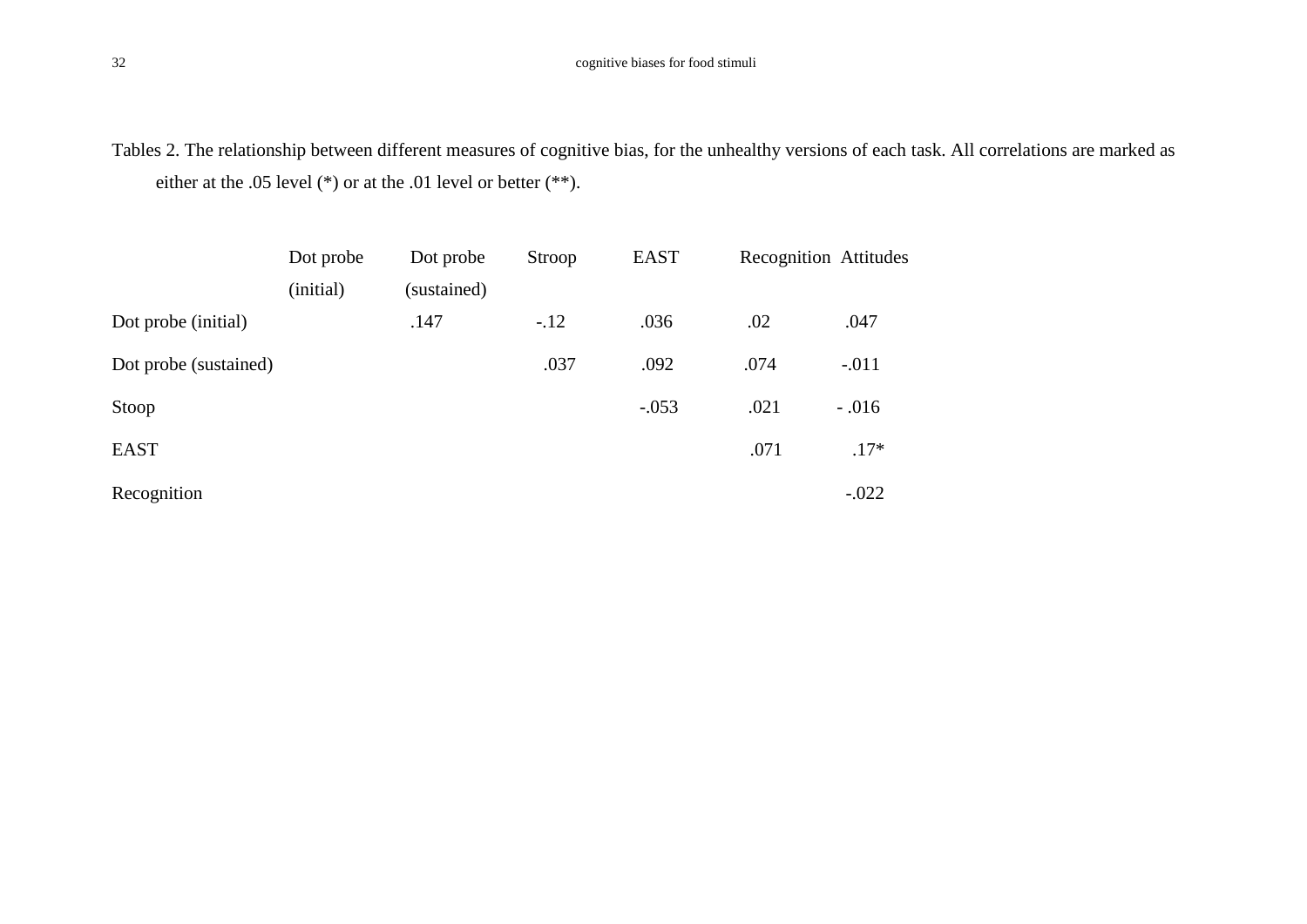Tables 2. The relationship between different measures of cognitive bias, for the unhealthy versions of each task. All correlations are marked as either at the .05 level (\*) or at the .01 level or better (\*\*).

|                       | Dot probe | Dot probe   | Stroop | <b>EAST</b> |      | <b>Recognition Attitudes</b> |
|-----------------------|-----------|-------------|--------|-------------|------|------------------------------|
|                       | (initial) | (sustained) |        |             |      |                              |
| Dot probe (initial)   |           | .147        | $-12$  | .036        | .02  | .047                         |
| Dot probe (sustained) |           |             | .037   | .092        | .074 | $-.011$                      |
| Stoop                 |           |             |        | $-.053$     | .021 | $-.016$                      |
| <b>EAST</b>           |           |             |        |             | .071 | $.17*$                       |
| Recognition           |           |             |        |             |      | $-.022$                      |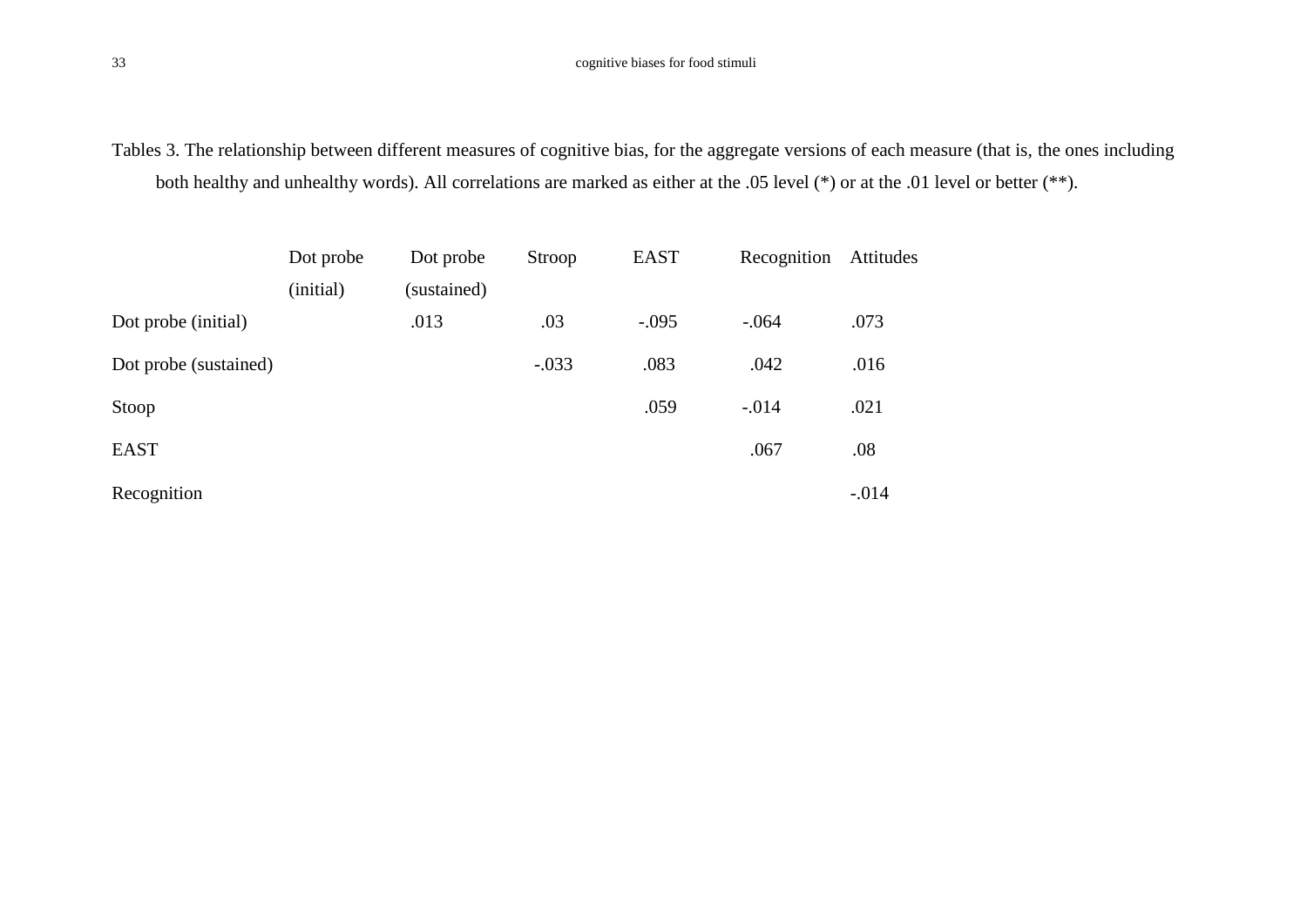Tables 3. The relationship between different measures of cognitive bias, for the aggregate versions of each measure (that is, the ones including both healthy and unhealthy words). All correlations are marked as either at the .05 level (\*) or at the .01 level or better (\*\*).

|                       | Dot probe | Dot probe   | Stroop  | <b>EAST</b> | Recognition | Attitudes |
|-----------------------|-----------|-------------|---------|-------------|-------------|-----------|
|                       | (initial) | (sustained) |         |             |             |           |
| Dot probe (initial)   |           | .013        | .03     | $-.095$     | $-.064$     | .073      |
| Dot probe (sustained) |           |             | $-.033$ | .083        | .042        | .016      |
| Stoop                 |           |             |         | .059        | $-.014$     | .021      |
| <b>EAST</b>           |           |             |         |             | .067        | .08       |
| Recognition           |           |             |         |             |             | $-.014$   |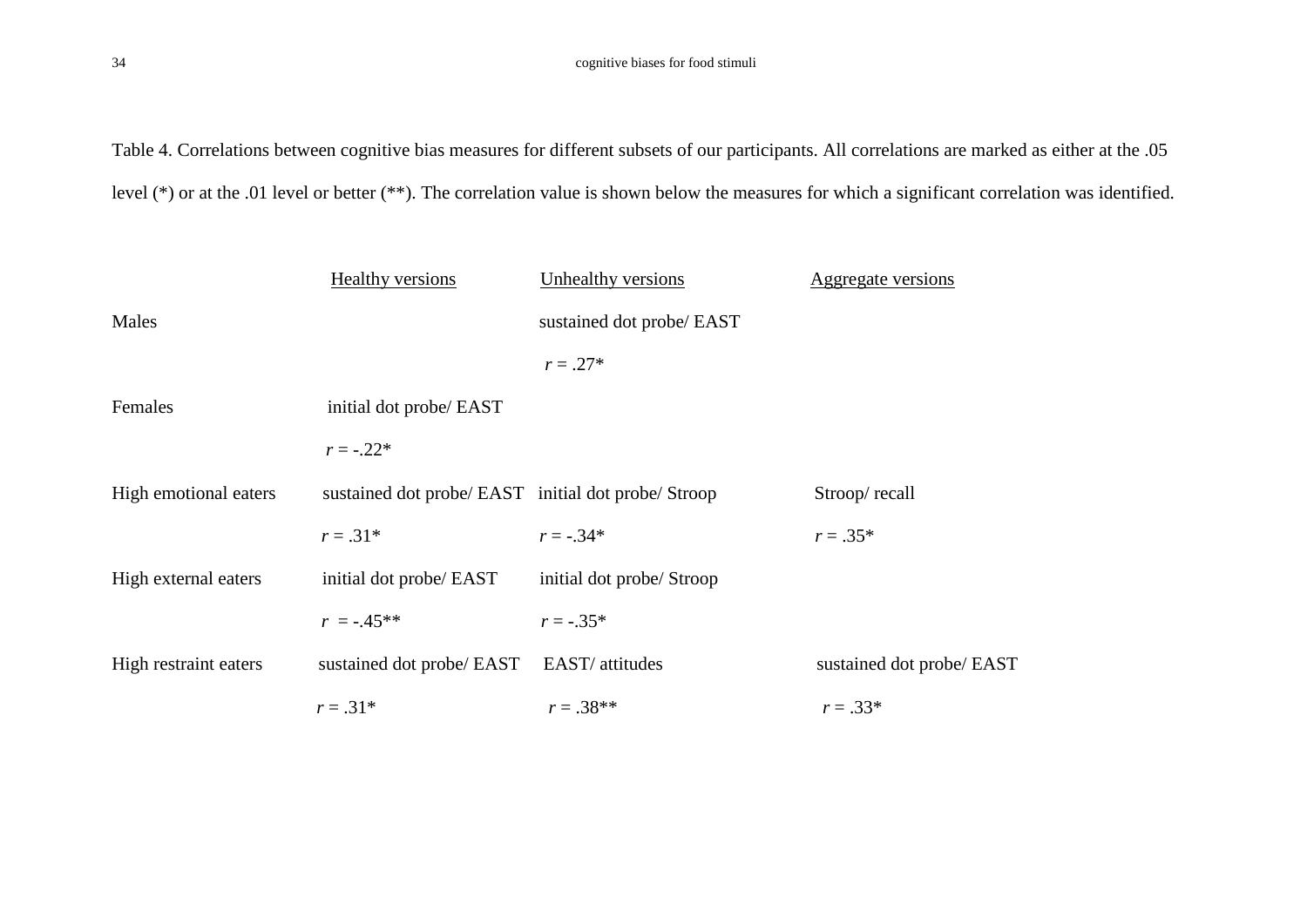Table 4. Correlations between cognitive bias measures for different subsets of our participants. All correlations are marked as either at the .05 level (\*) or at the .01 level or better (\*\*). The correlation value is shown below the measures for which a significant correlation was identified.

|                       | <b>Healthy versions</b>                             | Unhealthy versions        | Aggregate versions        |
|-----------------------|-----------------------------------------------------|---------------------------|---------------------------|
| Males                 |                                                     | sustained dot probe/ EAST |                           |
|                       |                                                     | $r = .27*$                |                           |
| Females               | initial dot probe/ EAST                             |                           |                           |
|                       | $r = -.22*$                                         |                           |                           |
| High emotional eaters | sustained dot probe/ EAST initial dot probe/ Stroop |                           | Stroop/recall             |
|                       | $r = .31*$                                          | $r = -.34*$               | $r = .35*$                |
| High external eaters  | initial dot probe/ EAST                             | initial dot probe/ Stroop |                           |
|                       | $r = -0.45**$                                       | $r = -.35*$               |                           |
| High restraint eaters | sustained dot probe/ EAST EAST/ attitudes           |                           | sustained dot probe/ EAST |
|                       | $r = .31*$                                          | $r = .38**$               | $r = .33*$                |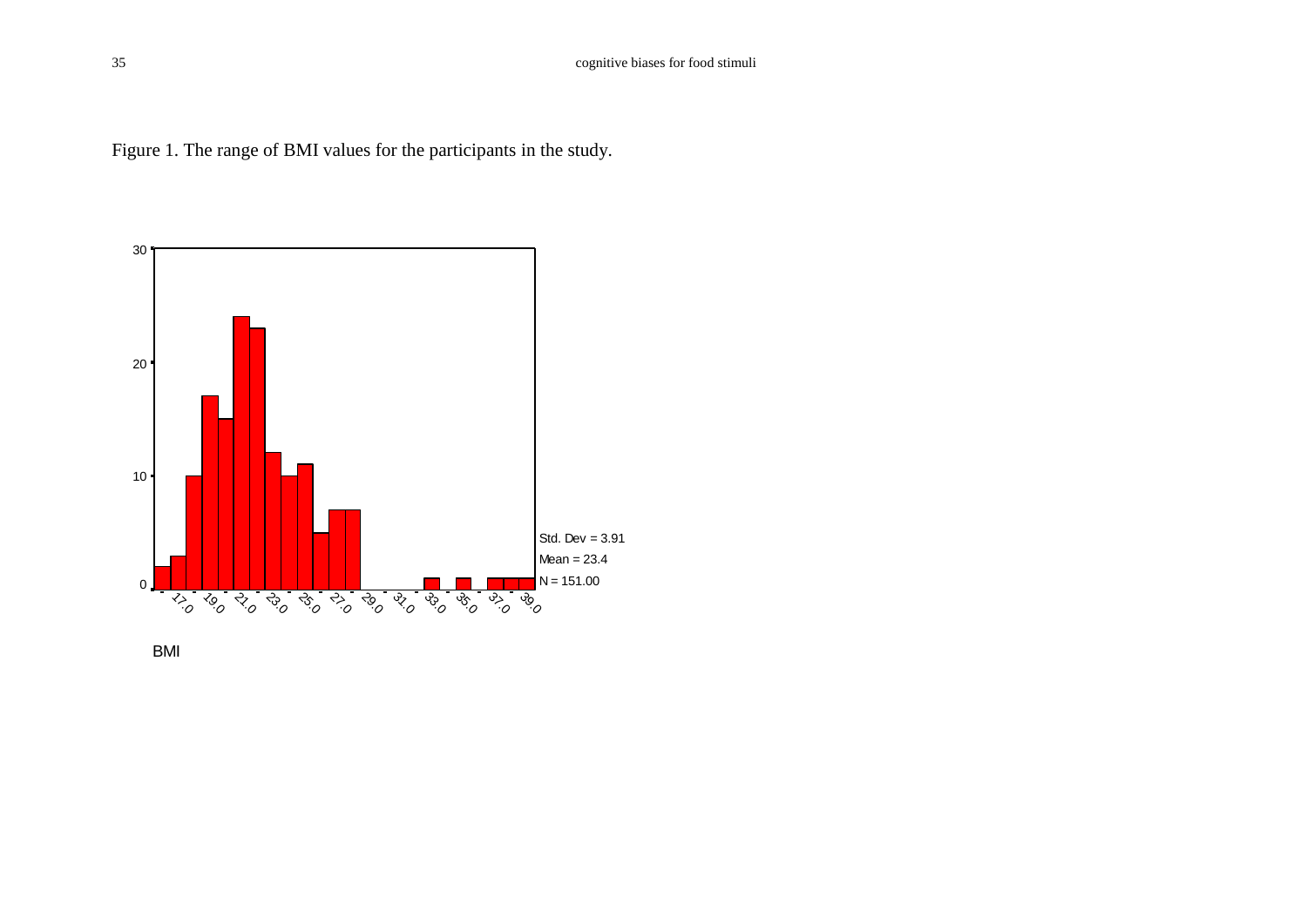



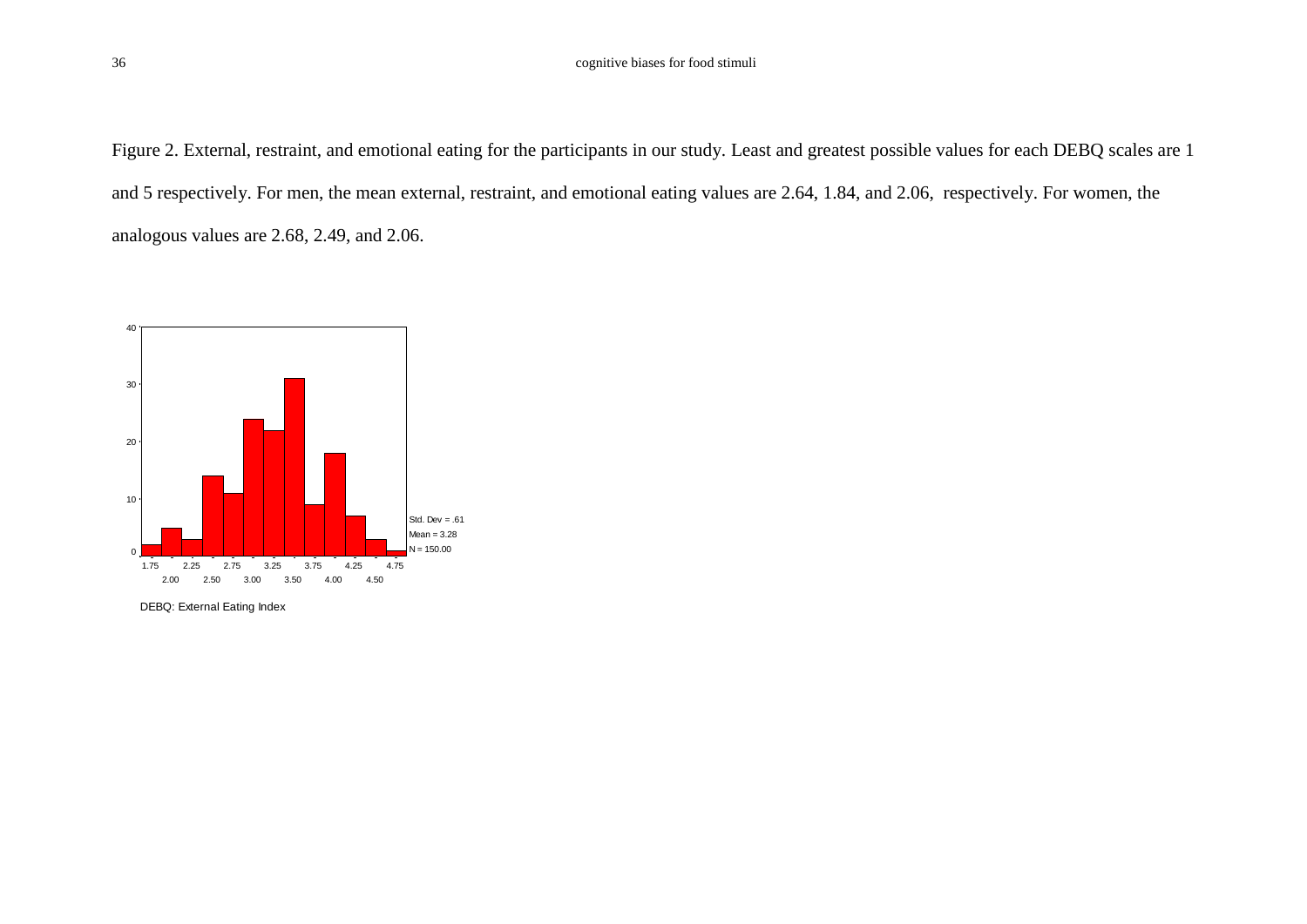Figure 2. External, restraint, and emotional eating for the participants in our study. Least and greatest possible values for each DEBQ scales are 1 and 5 respectively. For men, the mean external, restraint, and emotional eating values are 2.64, 1.84, and 2.06, respectively. For women, the analogous values are 2.68, 2.49, and 2.06.

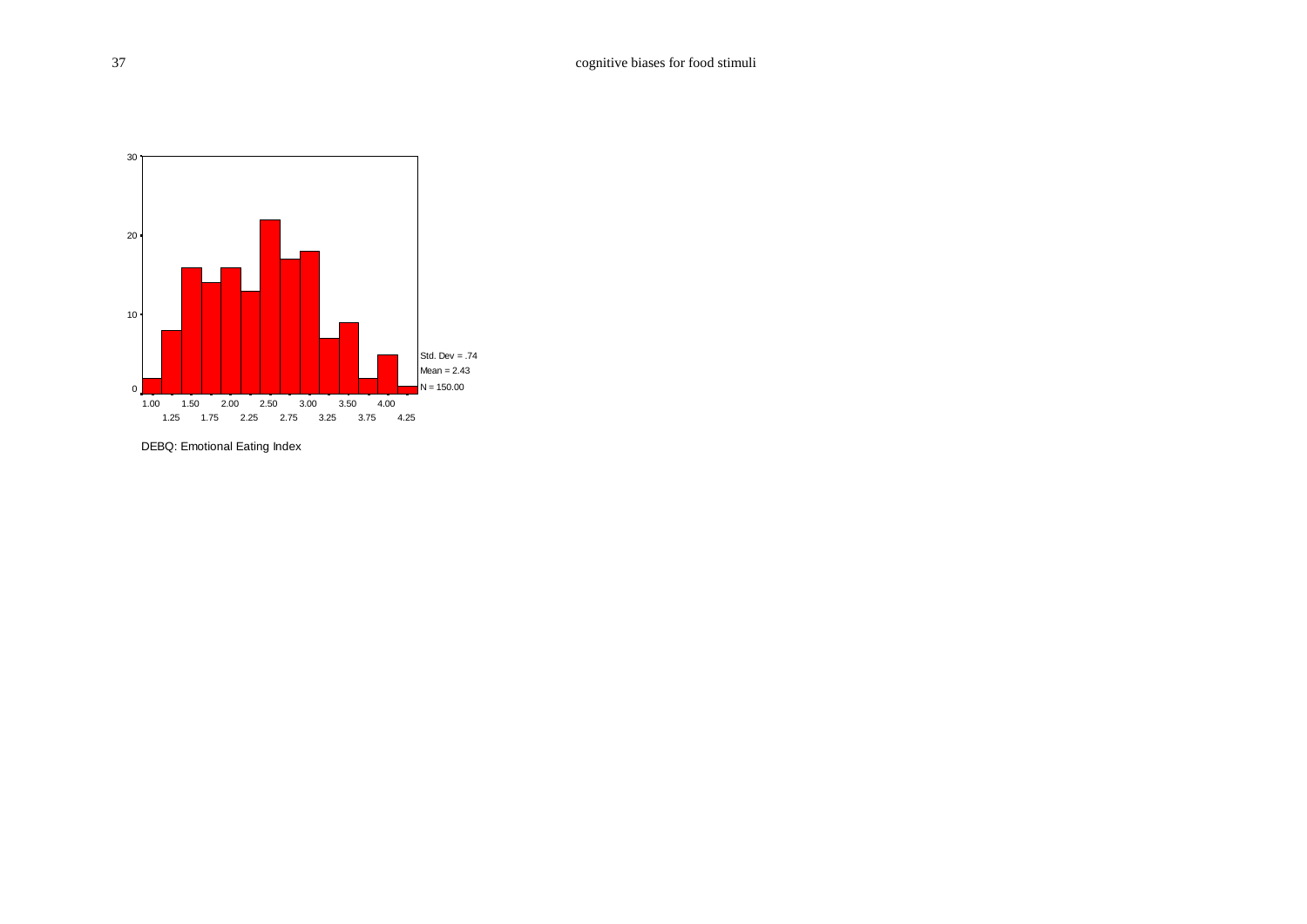

DEBQ: Emotional Eating Index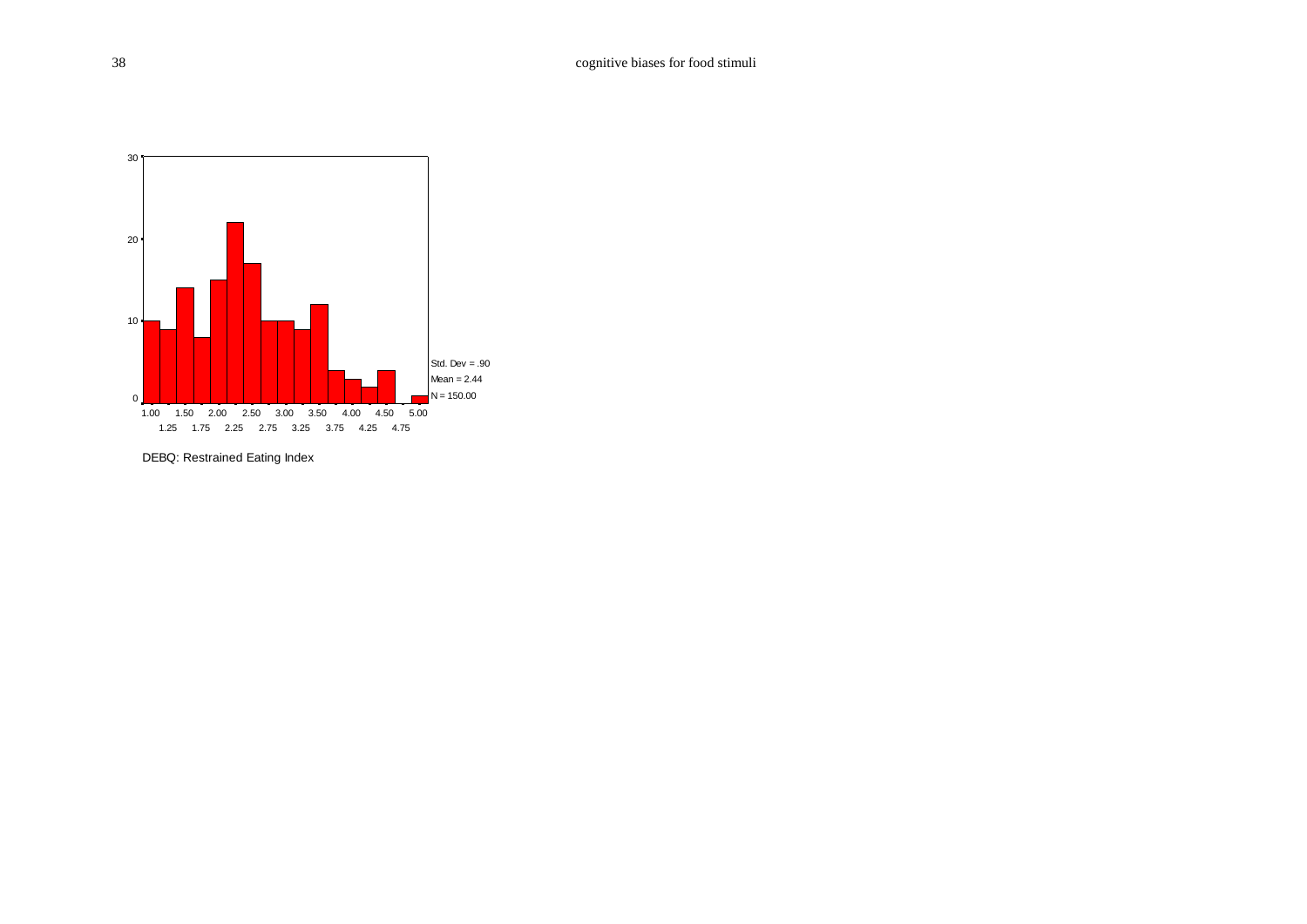

DEBQ: Restrained Eating Index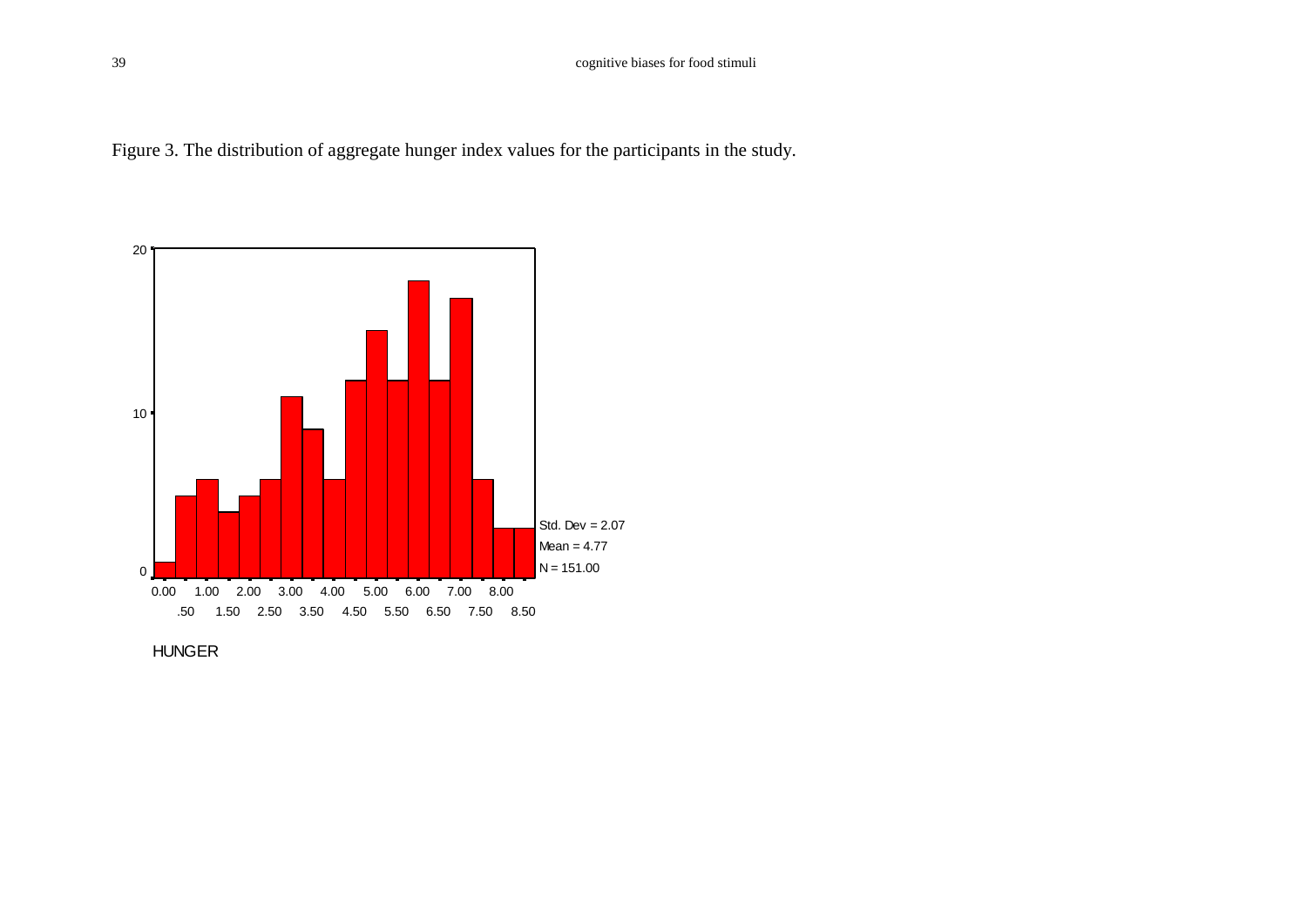